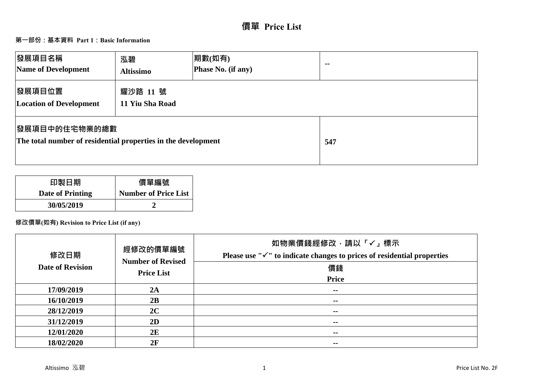# **價單 Price List**

# **第一部份:基本資料 Part 1:Basic Information**

| 發展項目名稱<br>Name of Development                                                          | 泓碧<br><b>Altissimo</b>      | 期數(如有)<br>Phase No. (if any) | $\sim$ $\sim$ |
|----------------------------------------------------------------------------------------|-----------------------------|------------------------------|---------------|
| 發展項目位置<br><b>Location of Development</b>                                               | 耀沙路 11 號<br>11 Yiu Sha Road |                              |               |
| <b> 發展項目中的住宅物業的總數</b><br>The total number of residential properties in the development |                             |                              | 547           |

| 印製日期             | 價單編號                        |
|------------------|-----------------------------|
| Date of Printing | <b>Number of Price List</b> |
| 30/05/2019       |                             |

# **修改價單(如有) Revision to Price List (if any)**

| 修改日期<br><b>Date of Revision</b> | 經修改的價單編號<br><b>Number of Revised</b><br><b>Price List</b> | 如物業價錢經修改,請以「✓」標示<br>Please use " $\checkmark$ " to indicate changes to prices of residential properties<br>價錢<br>Price |
|---------------------------------|-----------------------------------------------------------|------------------------------------------------------------------------------------------------------------------------|
| 17/09/2019                      | 2A                                                        | $\sim$ $-$                                                                                                             |
| 16/10/2019                      | 2B                                                        | $\sim$ $-$                                                                                                             |
| 28/12/2019                      | 2C                                                        | --                                                                                                                     |
| 31/12/2019                      | 2D                                                        | $\sim$ $-$                                                                                                             |
| 12/01/2020                      | 2E                                                        | $\sim$                                                                                                                 |
| 18/02/2020                      | 2F                                                        | $\sim$                                                                                                                 |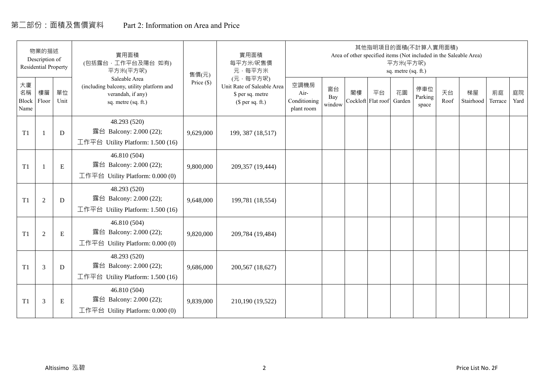# 第二部份:面積及售價資料 Part 2: Information on Area and Price

|                           | 物業的描述<br>Description of<br><b>Residential Property</b> |             | 實用面積<br>(包括露台, 工作平台及陽台 如有)<br>平方米(平方呎)                                                                | 售價(元)      | 實用面積<br>每平方米/呎售價<br>元·每平方米                                                     |                                            |                     |    | 其他指明項目的面積(不計算入實用面積)      | 平方米(平方呎)<br>sq. metre (sq. ft.) |                         |            | Area of other specified items (Not included in the Saleable Area) |               |            |
|---------------------------|--------------------------------------------------------|-------------|-------------------------------------------------------------------------------------------------------|------------|--------------------------------------------------------------------------------|--------------------------------------------|---------------------|----|--------------------------|---------------------------------|-------------------------|------------|-------------------------------------------------------------------|---------------|------------|
| 大廈<br>名稱<br>Block<br>Name | 樓層<br>Floor                                            | 單位<br>Unit  | Saleable Area<br>(including balcony, utility platform and<br>verandah, if any)<br>sq. metre (sq. ft.) | Price (\$) | (元·每平方呎)<br>Unit Rate of Saleable Area<br>\$ per sq. metre<br>$$$ per sq. ft.) | 空調機房<br>Air-<br>Conditioning<br>plant room | 窗台<br>Bay<br>window | 閣樓 | 平台<br>Cockloft Flat roof | 花園<br>Garden                    | 停車位<br>Parking<br>space | 天台<br>Roof | 梯屋<br>Stairhood                                                   | 前庭<br>Terrace | 庭院<br>Yard |
| T1                        |                                                        | D           | 48.293 (520)<br>露台 Balcony: 2.000 (22);<br>工作平台 Utility Platform: 1.500 (16)                          | 9,629,000  | 199, 387 (18,517)                                                              |                                            |                     |    |                          |                                 |                         |            |                                                                   |               |            |
| T1                        |                                                        | ${\bf E}$   | 46.810 (504)<br>露台 Balcony: 2.000 (22);<br>工作平台 Utility Platform: $0.000(0)$                          | 9,800,000  | 209,357 (19,444)                                                               |                                            |                     |    |                          |                                 |                         |            |                                                                   |               |            |
| T1                        | $\overline{2}$                                         | $\mathbf D$ | 48.293 (520)<br>露台 Balcony: 2.000 (22);<br>工作平台 Utility Platform: 1.500 (16)                          | 9,648,000  | 199,781 (18,554)                                                               |                                            |                     |    |                          |                                 |                         |            |                                                                   |               |            |
| T1                        | 2                                                      | E           | 46.810 (504)<br>露台 Balcony: 2.000 (22);<br>工作平台 Utility Platform: 0.000 (0)                           | 9,820,000  | 209,784 (19,484)                                                               |                                            |                     |    |                          |                                 |                         |            |                                                                   |               |            |
| T1                        | 3                                                      | D           | 48.293 (520)<br>露台 Balcony: 2.000 (22);<br>工作平台 Utility Platform: $1.500(16)$                         | 9,686,000  | 200,567 (18,627)                                                               |                                            |                     |    |                          |                                 |                         |            |                                                                   |               |            |
| T1                        | 3                                                      | Ε           | 46.810 (504)<br>露台 Balcony: 2.000 (22);<br>工作平台 Utility Platform: $0.000(0)$                          | 9,839,000  | 210,190 (19,522)                                                               |                                            |                     |    |                          |                                 |                         |            |                                                                   |               |            |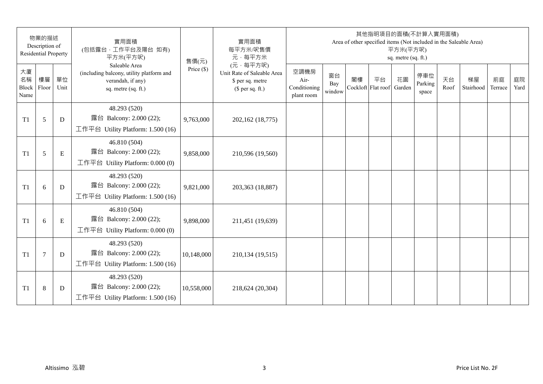|                           | 物業的描述<br>Description of<br><b>Residential Property</b> |            | 實用面積<br>(包括露台,工作平台及陽台 如有)<br>平方米(平方呎)                                                                 | 售價(元)        | 實用面積<br>每平方米/呎售價<br>元·每平方米                                                     |                                            |                     |    | 其他指明項目的面積(不計算入實用面積)      | 平方米(平方呎)<br>sq. metre (sq. ft.) |                         |            | Area of other specified items (Not included in the Saleable Area) |               |            |
|---------------------------|--------------------------------------------------------|------------|-------------------------------------------------------------------------------------------------------|--------------|--------------------------------------------------------------------------------|--------------------------------------------|---------------------|----|--------------------------|---------------------------------|-------------------------|------------|-------------------------------------------------------------------|---------------|------------|
| 大廈<br>名稱<br>Block<br>Name | 樓層<br>Floor                                            | 單位<br>Unit | Saleable Area<br>(including balcony, utility platform and<br>verandah, if any)<br>sq. metre (sq. ft.) | Price $(\$)$ | (元·每平方呎)<br>Unit Rate of Saleable Area<br>\$ per sq. metre<br>$$$ per sq. ft.) | 空調機房<br>Air-<br>Conditioning<br>plant room | 窗台<br>Bay<br>window | 閣樓 | 平台<br>Cockloft Flat roof | 花園<br>Garden                    | 停車位<br>Parking<br>space | 天台<br>Roof | 梯屋<br>Stairhood                                                   | 前庭<br>Terrace | 庭院<br>Yard |
| T <sub>1</sub>            | 5                                                      | D          | 48.293 (520)<br>露台 Balcony: 2.000 (22);<br>工作平台 Utility Platform: 1.500 (16)                          | 9,763,000    | 202,162 (18,775)                                                               |                                            |                     |    |                          |                                 |                         |            |                                                                   |               |            |
| T1                        | 5                                                      | ${\bf E}$  | 46.810 (504)<br>露台 Balcony: 2.000 (22);<br>工作平台 Utility Platform: $0.000(0)$                          | 9,858,000    | 210,596 (19,560)                                                               |                                            |                     |    |                          |                                 |                         |            |                                                                   |               |            |
| T <sub>1</sub>            | 6                                                      | D          | 48.293 (520)<br>露台 Balcony: 2.000 (22);<br>工作平台 Utility Platform: 1.500 (16)                          | 9,821,000    | 203,363 (18,887)                                                               |                                            |                     |    |                          |                                 |                         |            |                                                                   |               |            |
| T1                        | 6                                                      | ${\bf E}$  | 46.810 (504)<br>露台 Balcony: 2.000 (22);<br>工作平台 Utility Platform: 0.000 (0)                           | 9,898,000    | 211,451 (19,639)                                                               |                                            |                     |    |                          |                                 |                         |            |                                                                   |               |            |
| T1                        | $\tau$                                                 | D          | 48.293 (520)<br>露台 Balcony: 2.000 (22);<br>工作平台 Utility Platform: 1.500 (16)                          | 10,148,000   | 210,134 (19,515)                                                               |                                            |                     |    |                          |                                 |                         |            |                                                                   |               |            |
| T <sub>1</sub>            | 8                                                      | D          | 48.293 (520)<br>露台 Balcony: 2.000 (22);<br>工作平台 Utility Platform: $1.500(16)$                         | 10,558,000   | 218,624 (20,304)                                                               |                                            |                     |    |                          |                                 |                         |            |                                                                   |               |            |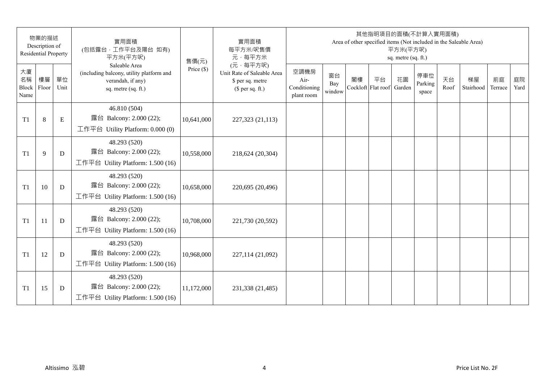|                           | 物業的描述<br>Description of<br><b>Residential Property</b> |            | 實用面積<br>(包括露台,工作平台及陽台 如有)<br>平方米(平方呎)                                                                 | 售價(元)        | 實用面積<br>每平方米/呎售價<br>元·每平方米                                                     |                                            |                     |    | 其他指明項目的面積(不計算入實用面積)      | 平方米(平方呎)<br>sq. metre (sq. ft.) |                         |            | Area of other specified items (Not included in the Saleable Area) |               |            |
|---------------------------|--------------------------------------------------------|------------|-------------------------------------------------------------------------------------------------------|--------------|--------------------------------------------------------------------------------|--------------------------------------------|---------------------|----|--------------------------|---------------------------------|-------------------------|------------|-------------------------------------------------------------------|---------------|------------|
| 大廈<br>名稱<br>Block<br>Name | 樓層<br>Floor                                            | 單位<br>Unit | Saleable Area<br>(including balcony, utility platform and<br>verandah, if any)<br>sq. metre (sq. ft.) | Price $(\$)$ | (元·每平方呎)<br>Unit Rate of Saleable Area<br>\$ per sq. metre<br>$$$ per sq. ft.) | 空調機房<br>Air-<br>Conditioning<br>plant room | 窗台<br>Bay<br>window | 閣樓 | 平台<br>Cockloft Flat roof | 花園<br>Garden                    | 停車位<br>Parking<br>space | 天台<br>Roof | 梯屋<br>Stairhood                                                   | 前庭<br>Terrace | 庭院<br>Yard |
| T <sub>1</sub>            | 8                                                      | E          | 46.810 (504)<br>露台 Balcony: 2.000 (22);<br>工作平台 Utility Platform: 0.000 (0)                           | 10,641,000   | 227,323 (21,113)                                                               |                                            |                     |    |                          |                                 |                         |            |                                                                   |               |            |
| T <sub>1</sub>            | 9                                                      | D          | 48.293 (520)<br>露台 Balcony: 2.000 (22);<br>工作平台 Utility Platform: 1.500 (16)                          | 10,558,000   | 218,624 (20,304)                                                               |                                            |                     |    |                          |                                 |                         |            |                                                                   |               |            |
| T <sub>1</sub>            | 10                                                     | D          | 48.293 (520)<br>露台 Balcony: 2.000 (22);<br>工作平台 Utility Platform: 1.500 (16)                          | 10,658,000   | 220,695 (20,496)                                                               |                                            |                     |    |                          |                                 |                         |            |                                                                   |               |            |
| T <sub>1</sub>            | 11                                                     | D          | 48.293 (520)<br>露台 Balcony: 2.000 (22);<br>工作平台 Utility Platform: 1.500 (16)                          | 10,708,000   | 221,730 (20,592)                                                               |                                            |                     |    |                          |                                 |                         |            |                                                                   |               |            |
| T1                        | 12                                                     | D          | 48.293 (520)<br>露台 Balcony: 2.000 (22);<br>工作平台 Utility Platform: 1.500 (16)                          | 10,968,000   | 227,114 (21,092)                                                               |                                            |                     |    |                          |                                 |                         |            |                                                                   |               |            |
| T <sub>1</sub>            | 15                                                     | D          | 48.293 (520)<br>露台 Balcony: 2.000 (22);<br>工作平台 Utility Platform: $1.500(16)$                         | 11,172,000   | 231,338 (21,485)                                                               |                                            |                     |    |                          |                                 |                         |            |                                                                   |               |            |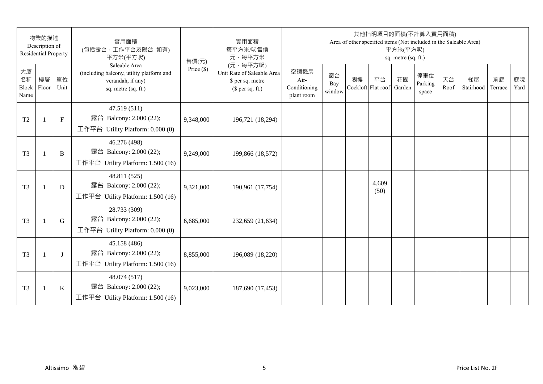|                           | 物業的描述<br>Description of<br><b>Residential Property</b> |              | 實用面積<br>(包括露台,工作平台及陽台 如有)<br>平方米(平方呎)                                                                 | 售價(元)        | 實用面積<br>每平方米/呎售價<br>元·每平方米                                                     |                                            |                     |    | 其他指明項目的面積(不計算入實用面積)<br>Area of other specified items (Not included in the Saleable Area) | 平方米(平方呎)<br>sq. metre (sq. ft.) |                         |            |                 |               |            |
|---------------------------|--------------------------------------------------------|--------------|-------------------------------------------------------------------------------------------------------|--------------|--------------------------------------------------------------------------------|--------------------------------------------|---------------------|----|------------------------------------------------------------------------------------------|---------------------------------|-------------------------|------------|-----------------|---------------|------------|
| 大廈<br>名稱<br>Block<br>Name | 樓層<br>Floor                                            | 單位<br>Unit   | Saleable Area<br>(including balcony, utility platform and<br>verandah, if any)<br>sq. metre (sq. ft.) | Price $(\$)$ | (元·每平方呎)<br>Unit Rate of Saleable Area<br>\$ per sq. metre<br>$$$ per sq. ft.) | 空調機房<br>Air-<br>Conditioning<br>plant room | 窗台<br>Bay<br>window | 閣樓 | 平台<br>Cockloft Flat roof                                                                 | 花園<br>Garden                    | 停車位<br>Parking<br>space | 天台<br>Roof | 梯屋<br>Stairhood | 前庭<br>Terrace | 庭院<br>Yard |
| T <sub>2</sub>            | $\mathbf{1}$                                           | $\mathbf{F}$ | 47.519 (511)<br>露台 Balcony: 2.000 (22);<br>工作平台 Utility Platform: 0.000 (0)                           | 9,348,000    | 196,721 (18,294)                                                               |                                            |                     |    |                                                                                          |                                 |                         |            |                 |               |            |
| T <sub>3</sub>            | $\overline{1}$                                         | B            | 46.276 (498)<br>露台 Balcony: 2.000 (22);<br>工作平台 Utility Platform: 1.500 (16)                          | 9,249,000    | 199,866 (18,572)                                                               |                                            |                     |    |                                                                                          |                                 |                         |            |                 |               |            |
| T <sub>3</sub>            | $\mathbf{1}$                                           | D            | 48.811 (525)<br>露台 Balcony: 2.000 (22);<br>工作平台 Utility Platform: 1.500 (16)                          | 9,321,000    | 190,961 (17,754)                                                               |                                            |                     |    | 4.609<br>(50)                                                                            |                                 |                         |            |                 |               |            |
| T <sub>3</sub>            | $\mathbf{1}$                                           | G            | 28.733 (309)<br>露台 Balcony: 2.000 (22);<br>工作平台 Utility Platform: 0.000 (0)                           | 6,685,000    | 232,659 (21,634)                                                               |                                            |                     |    |                                                                                          |                                 |                         |            |                 |               |            |
| T <sub>3</sub>            |                                                        | $\bf{J}$     | 45.158 (486)<br>露台 Balcony: 2.000 (22);<br>工作平台 Utility Platform: 1.500 (16)                          | 8,855,000    | 196,089 (18,220)                                                               |                                            |                     |    |                                                                                          |                                 |                         |            |                 |               |            |
| T <sub>3</sub>            | $\overline{1}$                                         | $\bf K$      | 48.074 (517)<br>露台 Balcony: 2.000 (22);<br>工作平台 Utility Platform: 1.500 (16)                          | 9,023,000    | 187,690 (17,453)                                                               |                                            |                     |    |                                                                                          |                                 |                         |            |                 |               |            |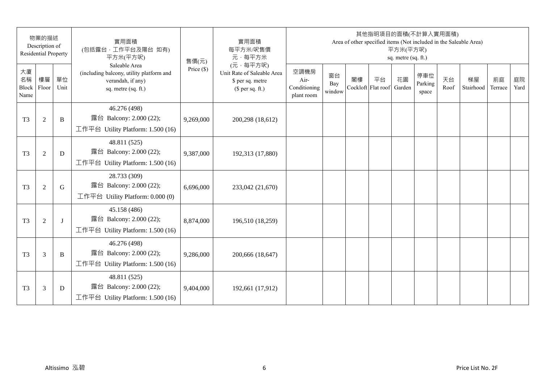|                           | 物業的描述<br>Description of<br><b>Residential Property</b> |              | 實用面積<br>(包括露台,工作平台及陽台 如有)<br>平方米(平方呎)                                                                 | 售價(元)        | 實用面積<br>每平方米/呎售價<br>元·每平方米                                                     |                                            |                     |    | 其他指明項目的面積(不計算入實用面積)      | 平方米(平方呎)<br>sq. metre (sq. ft.) |                         |            | Area of other specified items (Not included in the Saleable Area) |               |            |
|---------------------------|--------------------------------------------------------|--------------|-------------------------------------------------------------------------------------------------------|--------------|--------------------------------------------------------------------------------|--------------------------------------------|---------------------|----|--------------------------|---------------------------------|-------------------------|------------|-------------------------------------------------------------------|---------------|------------|
| 大廈<br>名稱<br>Block<br>Name | 樓層<br>Floor                                            | 單位<br>Unit   | Saleable Area<br>(including balcony, utility platform and<br>verandah, if any)<br>sq. metre (sq. ft.) | Price $(\$)$ | (元·每平方呎)<br>Unit Rate of Saleable Area<br>\$ per sq. metre<br>$$$ per sq. ft.) | 空調機房<br>Air-<br>Conditioning<br>plant room | 窗台<br>Bay<br>window | 閣樓 | 平台<br>Cockloft Flat roof | 花園<br>Garden                    | 停車位<br>Parking<br>space | 天台<br>Roof | 梯屋<br>Stairhood                                                   | 前庭<br>Terrace | 庭院<br>Yard |
| T <sub>3</sub>            | $\overline{2}$                                         | B            | 46.276 (498)<br>露台 Balcony: 2.000 (22);<br>工作平台 Utility Platform: 1.500 (16)                          | 9,269,000    | 200,298 (18,612)                                                               |                                            |                     |    |                          |                                 |                         |            |                                                                   |               |            |
| T <sub>3</sub>            | $\overline{2}$                                         | D            | 48.811 (525)<br>露台 Balcony: 2.000 (22);<br>工作平台 Utility Platform: 1.500 (16)                          | 9,387,000    | 192,313 (17,880)                                                               |                                            |                     |    |                          |                                 |                         |            |                                                                   |               |            |
| T <sub>3</sub>            | $\overline{2}$                                         | G            | 28.733 (309)<br>露台 Balcony: 2.000 (22);<br>工作平台 Utility Platform: $0.000(0)$                          | 6,696,000    | 233,042 (21,670)                                                               |                                            |                     |    |                          |                                 |                         |            |                                                                   |               |            |
| T <sub>3</sub>            | $\overline{2}$                                         | $\mathbf{I}$ | 45.158 (486)<br>露台 Balcony: 2.000 (22);<br>工作平台 Utility Platform: 1.500 (16)                          | 8,874,000    | 196,510 (18,259)                                                               |                                            |                     |    |                          |                                 |                         |            |                                                                   |               |            |
| T <sub>3</sub>            | 3                                                      | B            | 46.276 (498)<br>露台 Balcony: 2.000 (22);<br>工作平台 Utility Platform: 1.500 (16)                          | 9,286,000    | 200,666 (18,647)                                                               |                                            |                     |    |                          |                                 |                         |            |                                                                   |               |            |
| T <sub>3</sub>            | 3                                                      | D            | 48.811 (525)<br>露台 Balcony: 2.000 (22);<br>工作平台 Utility Platform: $1.500(16)$                         | 9,404,000    | 192,661 (17,912)                                                               |                                            |                     |    |                          |                                 |                         |            |                                                                   |               |            |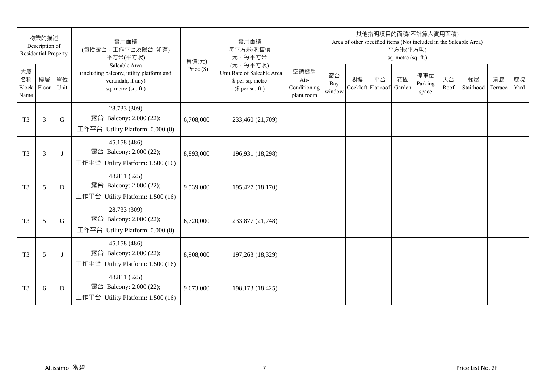|                           | 物業的描述<br>Description of<br><b>Residential Property</b> |            | 實用面積<br>(包括露台,工作平台及陽台 如有)<br>平方米(平方呎)                                                                 | 售價(元)        | 實用面積<br>每平方米/呎售價<br>元·每平方米                                                     |                                            |                     |    | 其他指明項目的面積(不計算入實用面積)      | 平方米(平方呎)<br>sq. metre (sq. ft.) |                         |            | Area of other specified items (Not included in the Saleable Area) |               |            |
|---------------------------|--------------------------------------------------------|------------|-------------------------------------------------------------------------------------------------------|--------------|--------------------------------------------------------------------------------|--------------------------------------------|---------------------|----|--------------------------|---------------------------------|-------------------------|------------|-------------------------------------------------------------------|---------------|------------|
| 大廈<br>名稱<br>Block<br>Name | 樓層<br>Floor                                            | 單位<br>Unit | Saleable Area<br>(including balcony, utility platform and<br>verandah, if any)<br>sq. metre (sq. ft.) | Price $(\$)$ | (元·每平方呎)<br>Unit Rate of Saleable Area<br>\$ per sq. metre<br>$$$ per sq. ft.) | 空調機房<br>Air-<br>Conditioning<br>plant room | 窗台<br>Bay<br>window | 閣樓 | 平台<br>Cockloft Flat roof | 花園<br>Garden                    | 停車位<br>Parking<br>space | 天台<br>Roof | 梯屋<br>Stairhood                                                   | 前庭<br>Terrace | 庭院<br>Yard |
| T <sub>3</sub>            | 3                                                      | G          | 28.733 (309)<br>露台 Balcony: 2.000 (22);<br>工作平台 Utility Platform: 0.000 (0)                           | 6,708,000    | 233,460 (21,709)                                                               |                                            |                     |    |                          |                                 |                         |            |                                                                   |               |            |
| T <sub>3</sub>            | 3                                                      | J          | 45.158 (486)<br>露台 Balcony: 2.000 (22);<br>工作平台 Utility Platform: 1.500 (16)                          | 8,893,000    | 196,931 (18,298)                                                               |                                            |                     |    |                          |                                 |                         |            |                                                                   |               |            |
| T <sub>3</sub>            | 5                                                      | D          | 48.811 (525)<br>露台 Balcony: 2.000 (22);<br>工作平台 Utility Platform: 1.500 (16)                          | 9,539,000    | 195,427 (18,170)                                                               |                                            |                     |    |                          |                                 |                         |            |                                                                   |               |            |
| T <sub>3</sub>            | 5                                                      | G          | 28.733 (309)<br>露台 Balcony: 2.000 (22);<br>工作平台 Utility Platform: 0.000 (0)                           | 6,720,000    | 233,877 (21,748)                                                               |                                            |                     |    |                          |                                 |                         |            |                                                                   |               |            |
| T <sub>3</sub>            | 5                                                      | J          | 45.158 (486)<br>露台 Balcony: 2.000 (22);<br>工作平台 Utility Platform: 1.500 (16)                          | 8,908,000    | 197,263 (18,329)                                                               |                                            |                     |    |                          |                                 |                         |            |                                                                   |               |            |
| T <sub>3</sub>            | 6                                                      | D          | 48.811 (525)<br>露台 Balcony: 2.000 (22);<br>工作平台 Utility Platform: $1.500(16)$                         | 9,673,000    | 198,173 (18,425)                                                               |                                            |                     |    |                          |                                 |                         |            |                                                                   |               |            |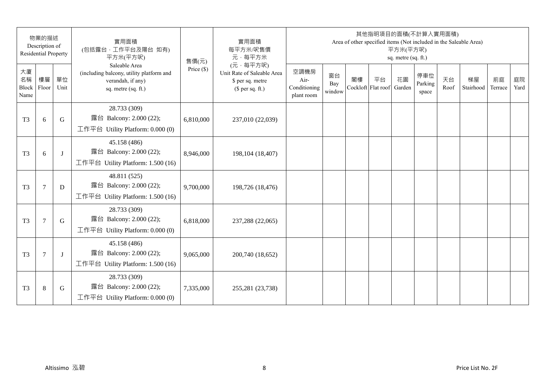|                           | 物業的描述<br>Description of<br><b>Residential Property</b> |             | 實用面積<br>(包括露台,工作平台及陽台 如有)<br>平方米(平方呎)                                                                 | 售價(元)        | 實用面積<br>每平方米/呎售價<br>元·每平方米                                                     |                                            |                     |    | 其他指明項目的面積(不計算入實用面積)      | 平方米(平方呎)<br>sq. metre (sq. ft.) |                         |            | Area of other specified items (Not included in the Saleable Area) |               |            |
|---------------------------|--------------------------------------------------------|-------------|-------------------------------------------------------------------------------------------------------|--------------|--------------------------------------------------------------------------------|--------------------------------------------|---------------------|----|--------------------------|---------------------------------|-------------------------|------------|-------------------------------------------------------------------|---------------|------------|
| 大廈<br>名稱<br>Block<br>Name | 樓層<br>Floor                                            | 單位<br>Unit  | Saleable Area<br>(including balcony, utility platform and<br>verandah, if any)<br>sq. metre (sq. ft.) | Price $(\$)$ | (元·每平方呎)<br>Unit Rate of Saleable Area<br>\$ per sq. metre<br>$$$ per sq. ft.) | 空調機房<br>Air-<br>Conditioning<br>plant room | 窗台<br>Bay<br>window | 閣樓 | 平台<br>Cockloft Flat roof | 花園<br>Garden                    | 停車位<br>Parking<br>space | 天台<br>Roof | 梯屋<br>Stairhood                                                   | 前庭<br>Terrace | 庭院<br>Yard |
| T <sub>3</sub>            | 6                                                      | $\mathbf G$ | 28.733 (309)<br>露台 Balcony: 2.000 (22);<br>工作平台 Utility Platform: $0.000(0)$                          | 6,810,000    | 237,010 (22,039)                                                               |                                            |                     |    |                          |                                 |                         |            |                                                                   |               |            |
| T <sub>3</sub>            | 6                                                      | J           | 45.158 (486)<br>露台 Balcony: 2.000 (22);<br>工作平台 Utility Platform: 1.500 (16)                          | 8,946,000    | 198,104 (18,407)                                                               |                                            |                     |    |                          |                                 |                         |            |                                                                   |               |            |
| T <sub>3</sub>            | $\tau$                                                 | D           | 48.811 (525)<br>露台 Balcony: 2.000 (22);<br>工作平台 Utility Platform: 1.500 (16)                          | 9,700,000    | 198,726 (18,476)                                                               |                                            |                     |    |                          |                                 |                         |            |                                                                   |               |            |
| T <sub>3</sub>            | $\overline{7}$                                         | $\mathbf G$ | 28.733 (309)<br>露台 Balcony: 2.000 (22);<br>工作平台 Utility Platform: $0.000(0)$                          | 6,818,000    | 237,288 (22,065)                                                               |                                            |                     |    |                          |                                 |                         |            |                                                                   |               |            |
| T <sub>3</sub>            | $\overline{7}$                                         | J           | 45.158 (486)<br>露台 Balcony: 2.000 (22);<br>工作平台 Utility Platform: 1.500 (16)                          | 9,065,000    | 200,740 (18,652)                                                               |                                            |                     |    |                          |                                 |                         |            |                                                                   |               |            |
| T <sub>3</sub>            | 8                                                      | G           | 28.733 (309)<br>露台 Balcony: 2.000 (22);<br>工作平台 Utility Platform: $0.000(0)$                          | 7,335,000    | 255,281 (23,738)                                                               |                                            |                     |    |                          |                                 |                         |            |                                                                   |               |            |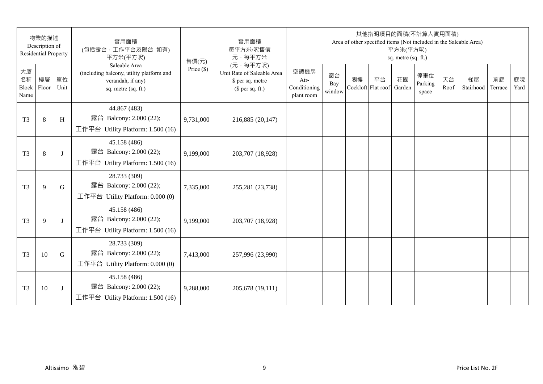|                           | 物業的描述<br>Description of<br><b>Residential Property</b> |              | 實用面積<br>(包括露台,工作平台及陽台 如有)<br>平方米(平方呎)                                                                 | 售價(元)        | 實用面積<br>每平方米/呎售價<br>元·每平方米                                                     |                                            |                     |    | 其他指明項目的面積(不計算入實用面積)      | 平方米(平方呎)<br>sq. metre (sq. ft.) |                         |            | Area of other specified items (Not included in the Saleable Area) |               |            |
|---------------------------|--------------------------------------------------------|--------------|-------------------------------------------------------------------------------------------------------|--------------|--------------------------------------------------------------------------------|--------------------------------------------|---------------------|----|--------------------------|---------------------------------|-------------------------|------------|-------------------------------------------------------------------|---------------|------------|
| 大廈<br>名稱<br>Block<br>Name | 樓層<br>Floor                                            | 單位<br>Unit   | Saleable Area<br>(including balcony, utility platform and<br>verandah, if any)<br>sq. metre (sq. ft.) | Price $(\$)$ | (元·每平方呎)<br>Unit Rate of Saleable Area<br>\$ per sq. metre<br>$$$ per sq. ft.) | 空調機房<br>Air-<br>Conditioning<br>plant room | 窗台<br>Bay<br>window | 閣樓 | 平台<br>Cockloft Flat roof | 花園<br>Garden                    | 停車位<br>Parking<br>space | 天台<br>Roof | 梯屋<br>Stairhood                                                   | 前庭<br>Terrace | 庭院<br>Yard |
| T <sub>3</sub>            | 8                                                      | H            | 44.867 (483)<br>露台 Balcony: 2.000 (22);<br>工作平台 Utility Platform: 1.500 (16)                          | 9,731,000    | 216,885 (20,147)                                                               |                                            |                     |    |                          |                                 |                         |            |                                                                   |               |            |
| T <sub>3</sub>            | 8                                                      | J            | 45.158 (486)<br>露台 Balcony: 2.000 (22);<br>工作平台 Utility Platform: 1.500 (16)                          | 9,199,000    | 203,707 (18,928)                                                               |                                            |                     |    |                          |                                 |                         |            |                                                                   |               |            |
| T <sub>3</sub>            | 9                                                      | G            | 28.733 (309)<br>露台 Balcony: 2.000 (22);<br>工作平台 Utility Platform: $0.000(0)$                          | 7,335,000    | 255,281 (23,738)                                                               |                                            |                     |    |                          |                                 |                         |            |                                                                   |               |            |
| T <sub>3</sub>            | 9                                                      | $\mathbf{I}$ | 45.158 (486)<br>露台 Balcony: 2.000 (22);<br>工作平台 Utility Platform: 1.500 (16)                          | 9,199,000    | 203,707 (18,928)                                                               |                                            |                     |    |                          |                                 |                         |            |                                                                   |               |            |
| T <sub>3</sub>            | 10                                                     | G            | 28.733 (309)<br>露台 Balcony: 2.000 (22);<br>工作平台 Utility Platform: $0.000(0)$                          | 7,413,000    | 257,996 (23,990)                                                               |                                            |                     |    |                          |                                 |                         |            |                                                                   |               |            |
| T <sub>3</sub>            | 10                                                     | J            | 45.158 (486)<br>露台 Balcony: 2.000 (22);<br>工作平台 Utility Platform: $1.500(16)$                         | 9,288,000    | 205,678 (19,111)                                                               |                                            |                     |    |                          |                                 |                         |            |                                                                   |               |            |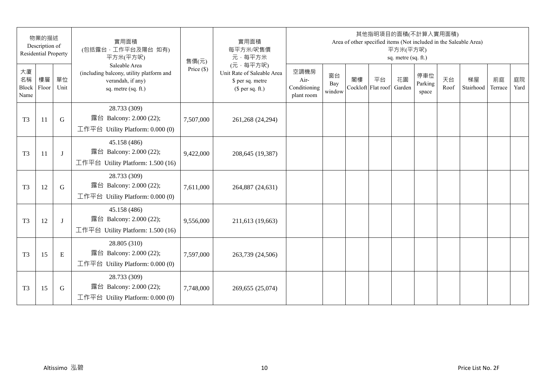|                           | 物業的描述<br>Description of<br><b>Residential Property</b> |            | 實用面積<br>(包括露台,工作平台及陽台 如有)<br>平方米(平方呎)                                                                 | 售價(元)        | 實用面積<br>每平方米/呎售價<br>元·每平方米                                                     |                                            |                     |    | 其他指明項目的面積(不計算入實用面積)      | 平方米(平方呎)<br>sq. metre (sq. ft.) |                         |            | Area of other specified items (Not included in the Saleable Area) |               |            |
|---------------------------|--------------------------------------------------------|------------|-------------------------------------------------------------------------------------------------------|--------------|--------------------------------------------------------------------------------|--------------------------------------------|---------------------|----|--------------------------|---------------------------------|-------------------------|------------|-------------------------------------------------------------------|---------------|------------|
| 大廈<br>名稱<br>Block<br>Name | 樓層<br>Floor                                            | 單位<br>Unit | Saleable Area<br>(including balcony, utility platform and<br>verandah, if any)<br>sq. metre (sq. ft.) | Price $(\$)$ | (元·每平方呎)<br>Unit Rate of Saleable Area<br>\$ per sq. metre<br>$$$ per sq. ft.) | 空調機房<br>Air-<br>Conditioning<br>plant room | 窗台<br>Bay<br>window | 閣樓 | 平台<br>Cockloft Flat roof | 花園<br>Garden                    | 停車位<br>Parking<br>space | 天台<br>Roof | 梯屋<br>Stairhood                                                   | 前庭<br>Terrace | 庭院<br>Yard |
| T <sub>3</sub>            | 11                                                     | G          | 28.733 (309)<br>露台 Balcony: 2.000 (22);<br>工作平台 Utility Platform: 0.000 (0)                           | 7,507,000    | 261,268 (24,294)                                                               |                                            |                     |    |                          |                                 |                         |            |                                                                   |               |            |
| T <sub>3</sub>            | 11                                                     | J          | 45.158 (486)<br>露台 Balcony: 2.000 (22);<br>工作平台 Utility Platform: 1.500 (16)                          | 9,422,000    | 208,645 (19,387)                                                               |                                            |                     |    |                          |                                 |                         |            |                                                                   |               |            |
| T <sub>3</sub>            | 12                                                     | G          | 28.733 (309)<br>露台 Balcony: 2.000 (22);<br>工作平台 Utility Platform: $0.000(0)$                          | 7,611,000    | 264,887 (24,631)                                                               |                                            |                     |    |                          |                                 |                         |            |                                                                   |               |            |
| T <sub>3</sub>            | 12                                                     | J          | 45.158 (486)<br>露台 Balcony: 2.000 (22);<br>工作平台 Utility Platform: 1.500 (16)                          | 9,556,000    | 211,613 (19,663)                                                               |                                            |                     |    |                          |                                 |                         |            |                                                                   |               |            |
| T <sub>3</sub>            | 15                                                     | E          | 28.805 (310)<br>露台 Balcony: 2.000 (22);<br>工作平台 Utility Platform: $0.000(0)$                          | 7,597,000    | 263,739 (24,506)                                                               |                                            |                     |    |                          |                                 |                         |            |                                                                   |               |            |
| T <sub>3</sub>            | 15                                                     | G          | 28.733 (309)<br>露台 Balcony: 2.000 (22);<br>工作平台 Utility Platform: $0.000(0)$                          | 7,748,000    | 269,655 (25,074)                                                               |                                            |                     |    |                          |                                 |                         |            |                                                                   |               |            |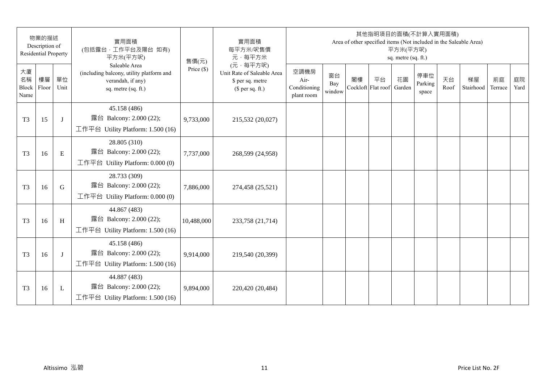| 物業的描述<br>Description of<br><b>Residential Property</b> |             | 實用面積<br>(包括露台,工作平台及陽台 如有)<br>平方米(平方呎) | 售價(元)                                                                                                 | 實用面積<br>每平方米/呎售價<br>元·每平方米 | 其他指明項目的面積(不計算入實用面積)<br>Area of other specified items (Not included in the Saleable Area)<br>平方米(平方呎)<br>sq. metre (sq. ft.) |                                            |                     |    |                          |              |                         |            |                 |               |            |
|--------------------------------------------------------|-------------|---------------------------------------|-------------------------------------------------------------------------------------------------------|----------------------------|-----------------------------------------------------------------------------------------------------------------------------|--------------------------------------------|---------------------|----|--------------------------|--------------|-------------------------|------------|-----------------|---------------|------------|
| 大廈<br>名稱<br>Block<br>Name                              | 樓層<br>Floor | 單位<br>Unit                            | Saleable Area<br>(including balcony, utility platform and<br>verandah, if any)<br>sq. metre (sq. ft.) | Price $(\$)$               | (元·每平方呎)<br>Unit Rate of Saleable Area<br>\$ per sq. metre<br>$$$ per sq. ft.)                                              | 空調機房<br>Air-<br>Conditioning<br>plant room | 窗台<br>Bay<br>window | 閣樓 | 平台<br>Cockloft Flat roof | 花園<br>Garden | 停車位<br>Parking<br>space | 天台<br>Roof | 梯屋<br>Stairhood | 前庭<br>Terrace | 庭院<br>Yard |
| T <sub>3</sub>                                         | 15          | J                                     | 45.158 (486)<br>露台 Balcony: 2.000 (22);<br>工作平台 Utility Platform: 1.500 (16)                          | 9,733,000                  | 215,532 (20,027)                                                                                                            |                                            |                     |    |                          |              |                         |            |                 |               |            |
| T <sub>3</sub>                                         | 16          | E                                     | 28.805 (310)<br>露台 Balcony: 2.000 (22);<br>工作平台 Utility Platform: 0.000 (0)                           | 7,737,000                  | 268,599 (24,958)                                                                                                            |                                            |                     |    |                          |              |                         |            |                 |               |            |
| T <sub>3</sub>                                         | 16          | G                                     | 28.733 (309)<br>露台 Balcony: 2.000 (22);<br>工作平台 Utility Platform: $0.000(0)$                          | 7,886,000                  | 274,458 (25,521)                                                                                                            |                                            |                     |    |                          |              |                         |            |                 |               |            |
| T <sub>3</sub>                                         | 16          | H                                     | 44.867 (483)<br>露台 Balcony: 2.000 (22);<br>工作平台 Utility Platform: 1.500 (16)                          | 10,488,000                 | 233,758 (21,714)                                                                                                            |                                            |                     |    |                          |              |                         |            |                 |               |            |
| T <sub>3</sub>                                         | 16          | J                                     | 45.158 (486)<br>露台 Balcony: 2.000 (22);<br>工作平台 Utility Platform: 1.500 (16)                          | 9,914,000                  | 219,540 (20,399)                                                                                                            |                                            |                     |    |                          |              |                         |            |                 |               |            |
| T <sub>3</sub>                                         | 16          | L                                     | 44.887 (483)<br>露台 Balcony: 2.000 (22);<br>工作平台 Utility Platform: $1.500(16)$                         | 9,894,000                  | 220,420 (20,484)                                                                                                            |                                            |                     |    |                          |              |                         |            |                 |               |            |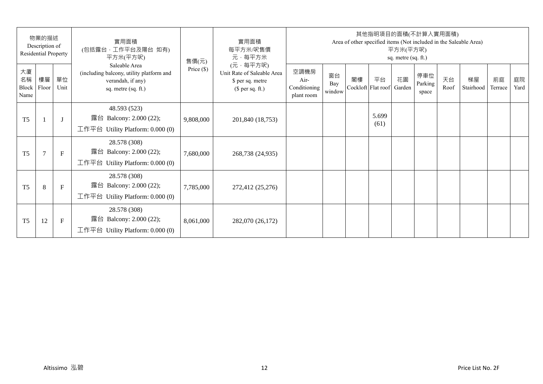| 物業的描述<br>Description of<br><b>Residential Property</b> |                |              | 實用面積<br>(包括露台,工作平台及陽台 如有)<br>平方米(平方呎)                                                                 | 售價(元)        | 實用面積<br>每平方米/呎售價<br>元·每平方米                                                     | 其他指明項目的面積(不計算入實用面積)<br>Area of other specified items (Not included in the Saleable Area)<br>平方米(平方呎)<br>sq. metre (sq. ft.) |                     |                          |               |              |                         |            |                 |               |            |  |
|--------------------------------------------------------|----------------|--------------|-------------------------------------------------------------------------------------------------------|--------------|--------------------------------------------------------------------------------|-----------------------------------------------------------------------------------------------------------------------------|---------------------|--------------------------|---------------|--------------|-------------------------|------------|-----------------|---------------|------------|--|
| 大廈<br>名稱<br>Block<br>Name                              | 樓層<br>Floor    | 單位<br>Unit   | Saleable Area<br>(including balcony, utility platform and<br>verandah, if any)<br>sq. metre (sq. ft.) | Price $(\$)$ | (元·每平方呎)<br>Unit Rate of Saleable Area<br>\$ per sq. metre<br>$$$ per sq. ft.) | 空調機房<br>Air-<br>Conditioning<br>plant room                                                                                  | 窗台<br>Bay<br>window | 閣樓<br>Cockloft Flat roof | 平台            | 花園<br>Garden | 停車位<br>Parking<br>space | 天台<br>Roof | 梯屋<br>Stairhood | 前庭<br>Terrace | 庭院<br>Yard |  |
| T <sub>5</sub>                                         |                | $\lceil$     | 48.593 (523)<br>露台 Balcony: 2.000 (22);<br>工作平台 Utility Platform: $0.000(0)$                          | 9,808,000    | 201,840 (18,753)                                                               |                                                                                                                             |                     |                          | 5.699<br>(61) |              |                         |            |                 |               |            |  |
| T <sub>5</sub>                                         | $\overline{7}$ | $\mathbf{F}$ | 28.578 (308)<br>露台 Balcony: 2.000 (22);<br>工作平台 Utility Platform: 0.000 (0)                           | 7,680,000    | 268,738 (24,935)                                                               |                                                                                                                             |                     |                          |               |              |                         |            |                 |               |            |  |
| T <sub>5</sub>                                         | 8              | $\mathbf{F}$ | 28.578 (308)<br>露台 Balcony: 2.000 (22);<br>工作平台 Utility Platform: $0.000(0)$                          | 7,785,000    | 272,412 (25,276)                                                               |                                                                                                                             |                     |                          |               |              |                         |            |                 |               |            |  |
| T <sub>5</sub>                                         | 12             | $\mathbf F$  | 28.578 (308)<br>露台 Balcony: 2.000 (22);<br>工作平台 Utility Platform: $0.000(0)$                          | 8,061,000    | 282,070 (26,172)                                                               |                                                                                                                             |                     |                          |               |              |                         |            |                 |               |            |  |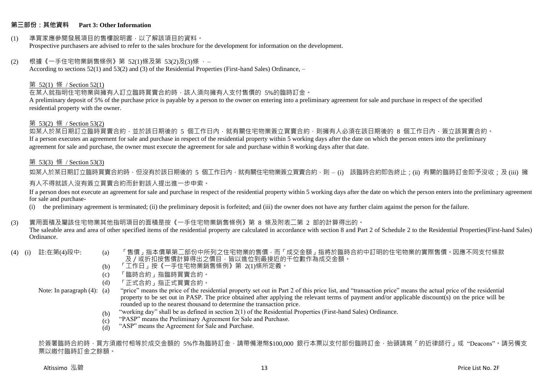#### **第三部份:其他資料 Part 3: Other Information**

#### (1) 準買家應參閱發展項目的售樓說明書,以了解該項目的資料。 Prospective purchasers are advised to refer to the sales brochure for the development for information on the development.

#### $(2)$  根據《一手住宅物業銷售條例》第 52(1)條及第 53(2)及(3)條,

According to sections 52(1) and 53(2) and (3) of the Residential Properties (First-hand Sales) Ordinance, –

#### 第 52(1) 條 / Section 52(1)

在某人就指明住宅物業與擁有人訂立臨時買賣合約時,該人須向擁有人支付售價的 5%的臨時訂金。

A preliminary deposit of 5% of the purchase price is payable by a person to the owner on entering into a preliminary agreement for sale and purchase in respect of the specified residential property with the owner.

#### 第 53(2) 條 / Section 53(2)

如某人於某日期訂立臨時買賣合約,並於該日期後的 5 個工作日內,就有關住宅物業簽立買賣合約,則擁有人必須在該日期後的 8 個工作日內,簽立該買賣合約。 If a person executes an agreement for sale and purchase in respect of the residential property within 5 working days after the date on which the person enters into the preliminary agreement for sale and purchase, the owner must execute the agreement for sale and purchase within 8 working days after that date.

#### 第 53(3) 條 / Section 53(3)

如某人於某日期訂立臨時買賣合約時,但沒有於該日期後的 5 個工作日內,就有關住宅物業簽立買賣合約,則 – (i) 該臨時合約即告終止;(ii) 有關的臨時訂金即予沒收;及 (iii) 擁 有人不得就該人沒有簽立買賣合約而針對該人提出進一步申索。

If a person does not execute an agreement for sale and purchase in respect of the residential property within 5 working days after the date on which the person enters into the preliminary agreement for sale and purchase-

(i) the preliminary agreement is terminated; (ii) the preliminary deposit is forfeited; and (iii) the owner does not have any further claim against the person for the failure.

#### (3) 實用面積及屬該住宅物業其他指明項目的面積是按《一手住宅物業銷售條例》第 8 條及附表二第 2 部的計算得出的。

The saleable area and area of other specified items of the residential property are calculated in accordance with section 8 and Part 2 of Schedule 2 to the Residential Properties(First-hand Sales) Ordinance.

- 
- (4) (i) 註:在第(4)段中: (a) 「售價」指本價單第二部份中所列之住宅物業的售價,而「成交金額」指將於臨時合約中訂明的住宅物業的實際售價。因應不同支付條款 及/或折扣按售價計算得出之價目,皆以進位到最接近的千位數作為成交金額。
	- (b) 「工作日」按《一手住宅物業銷售條例》第 2(1)條所定義。
	- (c) 「臨時合約」指臨時買賣合約。
	- (d) 「正式合約」指正式買賣合約。

Note: In paragraph (4): (a)

- "price" means the price of the residential property set out in Part 2 of this price list, and "transaction price" means the actual price of the residential property to be set out in PASP. The price obtained after applying the relevant terms of payment and/or applicable discount(s) on the price will be rounded up to the nearest thousand to determine the transaction price.
	- (b) "working day" shall be as defined in section 2(1) of the Residential Properties (First-hand Sales) Ordinance.
	- $(c)$ "PASP" means the Preliminary Agreement for Sale and Purchase.
	- (d) "ASP" means the Agreement for Sale and Purchase.

於簽署臨時合約時,買方須繳付相等於成交金額的 5%作為臨時訂金,請帶備港幣\$100,000 銀行本票以支付部份臨時訂金,抬頭請寫「的近律師行」或"Deacons"。請另備支 票以繳付臨時訂金之餘額。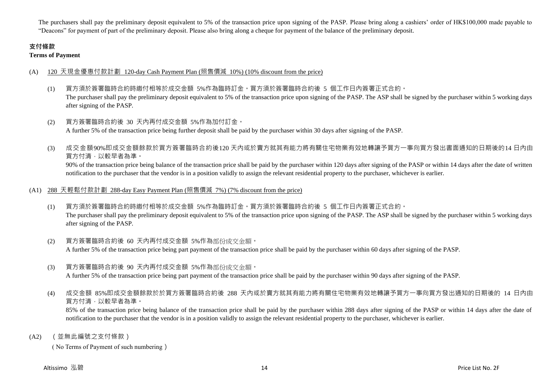The purchasers shall pay the preliminary deposit equivalent to 5% of the transaction price upon signing of the PASP. Please bring along a cashiers' order of HK\$100,000 made payable to "Deacons" for payment of part of the preliminary deposit. Please also bring along a cheque for payment of the balance of the preliminary deposit.

# **支付條款**

**Terms of Payment**

# (A) 120 天現金優惠付款計劃 120-day Cash Payment Plan (照售價減 10%) (10% discount from the price)

- (1) 買方須於簽署臨時合約時繳付相等於成交金額 5%作為臨時訂金。買方須於簽署臨時合約後 5 個工作日內簽署正式合約。 The purchaser shall pay the preliminary deposit equivalent to 5% of the transaction price upon signing of the PASP. The ASP shall be signed by the purchaser within 5 working days after signing of the PASP.
- (2) 買方簽署臨時合約後 30 天內再付成交金額 5%作為加付訂金。 A further 5% of the transaction price being further deposit shall be paid by the purchaser within 30 days after signing of the PASP.
- (3) 成交金額90%即成交金額餘款於買方簽署臨時合約後120 天內或於賣方就其有能力將有關住宅物業有效地轉讓予買方一事向買方發出書面通知的日期後的14 日內由 買方付清,以較早者為準。

90% of the transaction price being balance of the transaction price shall be paid by the purchaser within 120 days after signing of the PASP or within 14 days after the date of written notification to the purchaser that the vendor is in a position validly to assign the relevant residential property to the purchaser, whichever is earlier.

### (A1) 288 天輕鬆付款計劃 288-day Easy Payment Plan (照售價減 7%) (7% discount from the price)

- (1) 買方須於簽署臨時合約時繳付相等於成交金額 5%作為臨時訂金。買方須於簽署臨時合約後 5 個工作日內簽署正式合約。 The purchaser shall pay the preliminary deposit equivalent to 5% of the transaction price upon signing of the PASP. The ASP shall be signed by the purchaser within 5 working days after signing of the PASP.
- (2) 買方簽署臨時合約後 60 天內再付成交金額 5%作為部份成交金額。 A further 5% of the transaction price being part payment of the transaction price shall be paid by the purchaser within 60 days after signing of the PASP.
- (3) 買方簽署臨時合約後 90 天內再付成交金額 5%作為部份成交金額。

A further 5% of the transaction price being part payment of the transaction price shall be paid by the purchaser within 90 days after signing of the PASP.

(4) 成交金額 85%即成交金額餘款於於買方簽署臨時合約後 288 天內或於賣方就其有能力將有關住宅物業有效地轉讓予買方一事向買方發出通知的日期後的 14 日內由 買方付清,以較早者為準。

85% of the transaction price being balance of the transaction price shall be paid by the purchaser within 288 days after signing of the PASP or within 14 days after the date of notification to the purchaser that the vendor is in a position validly to assign the relevant residential property to the purchaser, whichever is earlier.

(A2) (並無此編號之支付條款)

( No Terms of Payment of such numbering)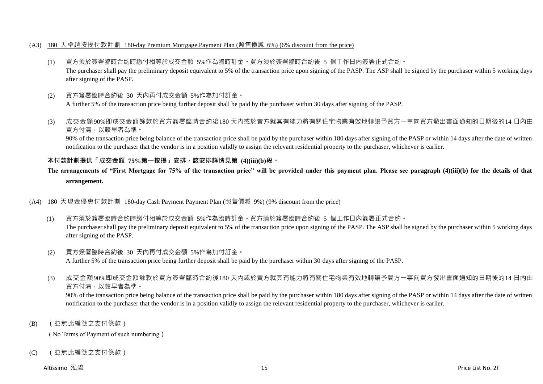#### (A3) 180 天卓越按揭付款計劃 180-day Premium Mortgage Payment Plan (照售價減 6%) (6% discount from the price)

- (1) 買方須於簽署臨時合約時繳付相等於成交金額 5%作為臨時訂金。買方須於簽署臨時合約後 5 個工作日內簽署正式合約。 The purchaser shall pay the preliminary deposit equivalent to 5% of the transaction price upon signing of the PASP. The ASP shall be signed by the purchaser within 5 working days after signing of the PASP.
- (2) 買方簽署臨時合約後 30 天內再付成交金額 5%作為加付訂金。 A further 5% of the transaction price being further deposit shall be paid by the purchaser within 30 days after signing of the PASP.
- (3) 成交金額90%即成交金額餘款於買方簽署臨時合約後180 天內或於賣方就其有能力將有關住宅物業有效地轉讓予買方一事向買方發出書面通知的日期後的14 日內由 買方付清,以較早者為準。

90% of the transaction price being balance of the transaction price shall be paid by the purchaser within 180 days after signing of the PASP or within 14 days after the date of written notification to the purchaser that the vendor is in a position validly to assign the relevant residential property to the purchaser, whichever is earlier.

# **本付款計劃提供「成交金額 75%第一按揭」安排,該安排詳情見第 (4)(iii)(b)段。**

# **The arrangements of "First Mortgage for 75% of the transaction price" will be provided under this payment plan. Please see paragraph (4)(iii)(b) for the details of that arrangement.**

#### (A4) 180 天現金優惠付款計劃 180-day Cash Payment Payment Plan (照售價減 9%) (9% discount from the price)

- (1) 買方須於簽署臨時合約時繳付相等於成交金額 5%作為臨時訂金。買方須於簽署臨時合約後 5 個工作日內簽署正式合約。 The purchaser shall pay the preliminary deposit equivalent to 5% of the transaction price upon signing of the PASP. The ASP shall be signed by the purchaser within 5 working days after signing of the PASP.
- (2) 買方簽署臨時合約後 30 天內再付成交金額 5%作為加付訂金。 A further 5% of the transaction price being further deposit shall be paid by the purchaser within 30 days after signing of the PASP.
- (3) 成交金額90%即成交金額餘款於買方簽署臨時合約後180 天內或於賣方就其有能力將有關住宅物業有效地轉讓予買方一事向買方發出書面通知的日期後的14 日內由 買方付清,以較早者為準。

90% of the transaction price being balance of the transaction price shall be paid by the purchaser within 180 days after signing of the PASP or within 14 days after the date of written notification to the purchaser that the vendor is in a position validly to assign the relevant residential property to the purchaser, whichever is earlier.

(B) (並無此編號之支付條款)

( No Terms of Payment of such numbering)

(C) (並無此編號之支付條款)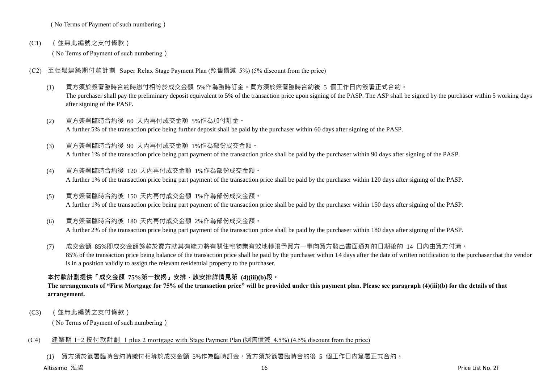( No Terms of Payment of such numbering)

(C1) (並無此編號之支付條款)

( No Terms of Payment of such numbering)

- (C2) 至輕鬆建築期付款計劃 Super Relax Stage Payment Plan (照售價減 5%) (5% discount from the price)
	- (1) 買方須於簽署臨時合約時繳付相等於成交金額 5%作為臨時訂金。買方須於簽署臨時合約後 5 個工作日內簽署正式合約。 The purchaser shall pay the preliminary deposit equivalent to 5% of the transaction price upon signing of the PASP. The ASP shall be signed by the purchaser within 5 working days after signing of the PASP.
	- (2) 買方簽署臨時合約後 60 天內再付成交金額 5%作為加付訂金。 A further 5% of the transaction price being further deposit shall be paid by the purchaser within 60 days after signing of the PASP.
	- (3) 買方簽署臨時合約後 90 天內再付成交金額 1%作為部份成交金額。 A further 1% of the transaction price being part payment of the transaction price shall be paid by the purchaser within 90 days after signing of the PASP.
	- (4) 買方簽署臨時合約後 120 天內再付成交金額 1%作為部份成交金額。 A further 1% of the transaction price being part payment of the transaction price shall be paid by the purchaser within 120 days after signing of the PASP.
	- (5) 買方簽署臨時合約後 150 天內再付成交金額 1%作為部份成交金額。 A further 1% of the transaction price being part payment of the transaction price shall be paid by the purchaser within 150 days after signing of the PASP.
	- (6) 買方簽署臨時合約後 180 天內再付成交金額 2%作為部份成交金額。 A further 2% of the transaction price being part payment of the transaction price shall be paid by the purchaser within 180 days after signing of the PASP.
	- (7) 成交金額 85%即成交金額餘款於賣方就其有能力將有關住宅物業有效地轉讓予買方一事向買方發出書面通知的日期後的 14 日內由買方付清。 85% of the transaction price being balance of the transaction price shall be paid by the purchaser within 14 days after the date of written notification to the purchaser that the vendor is in a position validly to assign the relevant residential property to the purchaser.

# **本付款計劃提供「成交金額 75%第一按揭」安排,該安排詳情見第 (4)(iii)(b)段。**

# **The arrangements of "First Mortgage for 75% of the transaction price" will be provided under this payment plan. Please see paragraph (4)(iii)(b) for the details of that arrangement.**

(C3) (並無此編號之支付條款)

( No Terms of Payment of such numbering)

# (C4) 建築期 1+2 按付款計劃 1 plus 2 mortgage with Stage Payment Plan (照售價減 4.5%) (4.5% discount from the price)

(1) 買方須於簽署臨時合約時繳付相等於成交金額 5%作為臨時訂金。買方須於簽署臨時合約後 5 個工作日內簽署正式合約。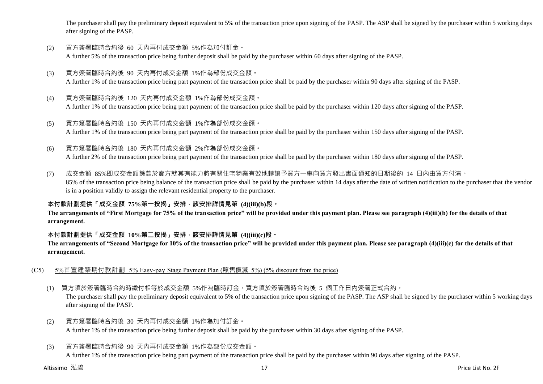The purchaser shall pay the preliminary deposit equivalent to 5% of the transaction price upon signing of the PASP. The ASP shall be signed by the purchaser within 5 working days after signing of the PASP.

- (2) 買方簽署臨時合約後 60 天內再付成交金額 5%作為加付訂金。 A further 5% of the transaction price being further deposit shall be paid by the purchaser within 60 days after signing of the PASP.
- (3) 買方簽署臨時合約後 90 天內再付成交金額 1%作為部份成交金額。 A further 1% of the transaction price being part payment of the transaction price shall be paid by the purchaser within 90 days after signing of the PASP.
- (4) 買方簽署臨時合約後 120 天內再付成交金額 1%作為部份成交金額。 A further 1% of the transaction price being part payment of the transaction price shall be paid by the purchaser within 120 days after signing of the PASP.
- (5) 買方簽署臨時合約後 150 天內再付成交金額 1%作為部份成交金額。 A further 1% of the transaction price being part payment of the transaction price shall be paid by the purchaser within 150 days after signing of the PASP.
- (6) 買方簽署臨時合約後 180 天內再付成交金額 2%作為部份成交金額。

A further 2% of the transaction price being part payment of the transaction price shall be paid by the purchaser within 180 days after signing of the PASP.

(7) 成交金額 85%即成交金額餘款於賣方就其有能力將有關住宅物業有效地轉讓予買方一事向買方發出書面通知的日期後的 14 日內由買方付清。 85% of the transaction price being balance of the transaction price shall be paid by the purchaser within 14 days after the date of written notification to the purchaser that the vendor is in a position validly to assign the relevant residential property to the purchaser.

# **本付款計劃提供「成交金額 75%第一按揭」安排,該安排詳情見第 (4)(iii)(b)段。**

**The arrangements of "First Mortgage for 75% of the transaction price" will be provided under this payment plan. Please see paragraph (4)(iii)(b) for the details of that arrangement.**

# **本付款計劃提供「成交金額 10%第二按揭」安排,該安排詳情見第 (4)(iii)(c)段。**

**The arrangements of "Second Mortgage for 10% of the transaction price" will be provided under this payment plan. Please see paragraph (4)(iii)(c) for the details of that arrangement.**

- (C5) 5%首置建築期付款計劃 5% Easy-pay Stage Payment Plan (照售價減 5%) (5% discount from the price)
	- (1) 買方須於簽署臨時合約時繳付相等於成交金額 5%作為臨時訂金。買方須於簽署臨時合約後 5 個工作日內簽署正式合約。

The purchaser shall pay the preliminary deposit equivalent to 5% of the transaction price upon signing of the PASP. The ASP shall be signed by the purchaser within 5 working days after signing of the PASP.

- (2) 買方簽署臨時合約後 30 天內再付成交金額 1%作為加付訂金。 A further 1% of the transaction price being further deposit shall be paid by the purchaser within 30 days after signing of the PASP.
- (3) 買方簽署臨時合約後 90 天內再付成交金額 1%作為部份成交金額。

A further 1% of the transaction price being part payment of the transaction price shall be paid by the purchaser within 90 days after signing of the PASP.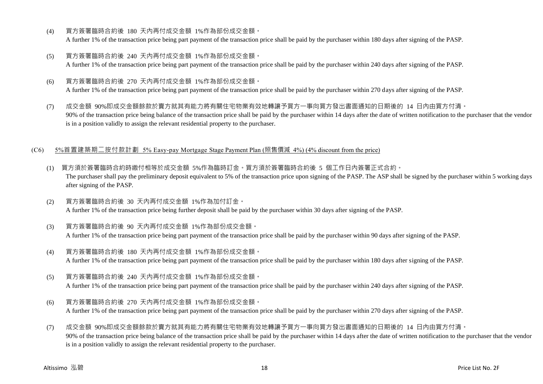- (4) 買方簽署臨時合約後 180 天內再付成交金額 1%作為部份成交金額。 A further 1% of the transaction price being part payment of the transaction price shall be paid by the purchaser within 180 days after signing of the PASP.
- (5) 買方簽署臨時合約後 240 天內再付成交金額 1%作為部份成交金額。 A further 1% of the transaction price being part payment of the transaction price shall be paid by the purchaser within 240 days after signing of the PASP.
- (6) 買方簽署臨時合約後 270 天內再付成交金額 1%作為部份成交金額。 A further 1% of the transaction price being part payment of the transaction price shall be paid by the purchaser within 270 days after signing of the PASP.
- (7) 成交金額 90%即成交金額餘款於賣方就其有能力將有關住宅物業有效地轉讓予買方一事向買方發出書面通知的日期後的 14 日內由買方付清。 90% of the transaction price being balance of the transaction price shall be paid by the purchaser within 14 days after the date of written notification to the purchaser that the vendor is in a position validly to assign the relevant residential property to the purchaser.

#### (C6) 5%首置建築期二按付款計劃 5% Easy-pay Mortgage Stage Payment Plan (照售價減 4%) (4% discount from the price)

- (1) 買方須於簽署臨時合約時繳付相等於成交金額 5%作為臨時訂金。買方須於簽署臨時合約後 5 個工作日內簽署正式合約。 The purchaser shall pay the preliminary deposit equivalent to 5% of the transaction price upon signing of the PASP. The ASP shall be signed by the purchaser within 5 working days after signing of the PASP.
- (2) 買方簽署臨時合約後 30 天內再付成交金額 1%作為加付訂金。 A further 1% of the transaction price being further deposit shall be paid by the purchaser within 30 days after signing of the PASP.
- (3) 買方簽署臨時合約後 90 天內再付成交金額 1%作為部份成交金額。 A further 1% of the transaction price being part payment of the transaction price shall be paid by the purchaser within 90 days after signing of the PASP.
- (4) 買方簽署臨時合約後 180 天內再付成交金額 1%作為部份成交金額。 A further 1% of the transaction price being part payment of the transaction price shall be paid by the purchaser within 180 days after signing of the PASP.
- (5) 買方簽署臨時合約後 240 天內再付成交金額 1%作為部份成交金額。

A further 1% of the transaction price being part payment of the transaction price shall be paid by the purchaser within 240 days after signing of the PASP.

- (6) 買方簽署臨時合約後 270 天內再付成交金額 1%作為部份成交金額。 A further 1% of the transaction price being part payment of the transaction price shall be paid by the purchaser within 270 days after signing of the PASP.
- (7) 成交金額 90%即成交金額餘款於賣方就其有能力將有關住宅物業有效地轉讓予買方一事向買方發出書面通知的日期後的 14 日內由買方付清。 90% of the transaction price being balance of the transaction price shall be paid by the purchaser within 14 days after the date of written notification to the purchaser that the vendor is in a position validly to assign the relevant residential property to the purchaser.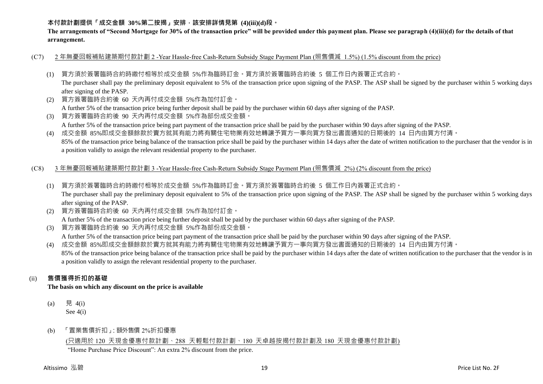# **本付款計劃提供「成交金額 30%第二按揭」安排,該安排詳情見第 (4)(iii)(d)段。**

**The arrangements of "Second Mortgage for 30% of the transaction price" will be provided under this payment plan. Please see paragraph (4)(iii)(d) for the details of that arrangement.**

- (C7) 2 年無憂回報補貼建築期付款計劃 2 -Year Hassle-free Cash-Return Subsidy Stage Payment Plan (照售價減 1.5%) (1.5% discount from the price)
	- (1) 買方須於簽署臨時合約時繳付相等於成交金額 5%作為臨時訂金。買方須於簽署臨時合約後 5 個工作日內簽署正式合約。

The purchaser shall pay the preliminary deposit equivalent to 5% of the transaction price upon signing of the PASP. The ASP shall be signed by the purchaser within 5 working days after signing of the PASP.

(2) 買方簽署臨時合約後 60 天內再付成交金額 5%作為加付訂金。

A further 5% of the transaction price being further deposit shall be paid by the purchaser within 60 days after signing of the PASP.

(3) 買方簽署臨時合約後 90 天內再付成交金額 5%作為部份成交金額。 A further 5% of the transaction price being part payment of the transaction price shall be paid by the purchaser within 90 days after signing of the PASP.

(4) 成交金額 85%即成交金額餘款於賣方就其有能力將有關住宅物業有效地轉讓予買方一事向買方發出書面通知的日期後的 14 日內由買方付清。 85% of the transaction price being balance of the transaction price shall be paid by the purchaser within 14 days after the date of written notification to the purchaser that the vendor is in a position validly to assign the relevant residential property to the purchaser.

#### (C8) 3 年無憂回報補貼建築期付款計劃 3 -Year Hassle-free Cash-Return Subsidy Stage Payment Plan (照售價減 2%) (2% discount from the price)

- (1) 買方須於簽署臨時合約時繳付相等於成交金額 5%作為臨時訂金。買方須於簽署臨時合約後 5 個工作日內簽署正式合約。 The purchaser shall pay the preliminary deposit equivalent to 5% of the transaction price upon signing of the PASP. The ASP shall be signed by the purchaser within 5 working days after signing of the PASP.
- (2) 買方簽署臨時合約後 60 天內再付成交金額 5%作為加付訂金。

A further 5% of the transaction price being further deposit shall be paid by the purchaser within 60 days after signing of the PASP.

(3) 買方簽署臨時合約後 90 天內再付成交金額 5%作為部份成交金額。

A further 5% of the transaction price being part payment of the transaction price shall be paid by the purchaser within 90 days after signing of the PASP.

(4) 成交金額 85%即成交金額餘款於賣方就其有能力將有關住宅物業有效地轉讓予買方一事向買方發出書面通知的日期後的 14 日內由買方付清。 85% of the transaction price being balance of the transaction price shall be paid by the purchaser within 14 days after the date of written notification to the purchaser that the vendor is in a position validly to assign the relevant residential property to the purchaser.

# (ii) **售價獲得折扣的基礎**

**The basis on which any discount on the price is available**

- (a) 見 4(i) See 4(i)
- (b) 「置業售價折扣」:額外售價 2%折扣優惠

# (只適用於 120 天現金優惠付款計劃、288 天輕鬆付款計劃、180 天卓越按揭付款計劃及 180 天現金優惠付款計劃)

"Home Purchase Price Discount": An extra 2% discount from the price.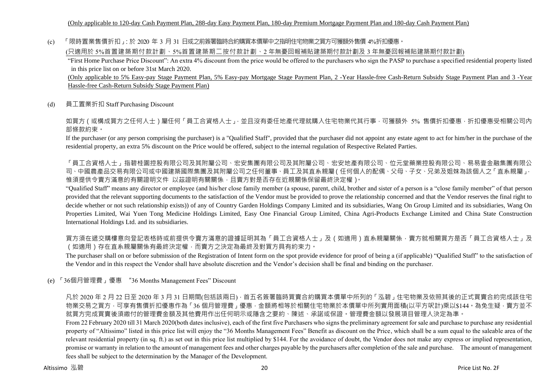(c) 「限時置業售價折扣」:於 2020 年 3 月 31 日或之前簽署臨時合約購買本價單中之指明住宅物業之買方可獲額外售價 4%折扣優惠。

(只適用於 5%首置建築期付款計劃、5%首置建築期二按付款計劃、2 年無憂回報補貼建築期付款計劃及 3 年無憂回報補貼建築期付款計劃)

"First Home Purchase Price Discount": An extra 4% discount from the price would be offered to the purchasers who sign the PASP to purchase a specified residential property listed in this price list on or before 31st March 2020.

(Only applicable to 5% Easy-pay Stage Payment Plan, 5% Easy-pay Mortgage Stage Payment Plan, 2 -Year Hassle-free Cash-Return Subsidy Stage Payment Plan and 3 -Year Hassle-free Cash-Return Subsidy Stage Payment Plan)

(d) 員工置業折扣 Staff Purchasing Discount

如買方(或構成買方之任何人士)屬任何「員工合資格人士」,並且沒有委任地產代理就購入住宅物業代其行事,可獲額外 5% 售價折扣優惠,折扣優惠受相關公司內 部條款約束。

If the purchaser (or any person comprising the purchaser) is a "Qualified Staff", provided that the purchaser did not appoint any estate agent to act for him/her in the purchase of the residential property, an extra 5% discount on the Price would be offered, subject to the internal regulation of Respective Related Parties.

「員工合資格人士」指碧桂園控股有限公司及其附屬公司、宏安集團有限公司及其附屬公司、宏安地產有限公司、位元堂藥業控股有限公司、易易壹金融集團有限公 司、中國農產品交易有限公司或中國建築國際集團及其附屬公司之任何董事、員工及其直系親屬(任何個人的配偶、父母、子女、兄弟及姐妹為該個人之「直系親屬」, 惟須提供令賣方滿意的有關證明文件 以茲證明有關關係,且賣方對是否存在近親關係保留最終決定權)。

"Qualified Staff" means any director or employee (and his/her close family member (a spouse, parent, child, brother and sister of a person is a "close family member" of that person provided that the relevant supporting documents to the satisfaction of the Vendor must be provided to prove the relationship concerned and that the Vendor reserves the final right to decide whether or not such relationship exists)) of any of Country Garden Holdings Company Limited and its subsidiaries, Wang On Group Limited and its subsidiaries, Wang On Properties Limited, Wai Yuen Tong Medicine Holdings Limited, Easy One Financial Group Limited, China Agri-Products Exchange Limited and China State Construction International Holdings Ltd. and its subsidiaries.

買方須在遞交購樓意向登記表格時或前提供令賣方滿意的證據証明其為「員工合資格人士」及(如適用)直系親屬關係,賣方就相關買方是否「員工合資格人士」及 (如適用)存在直系親屬關係有最終決定權,而賣方之決定為最終及對買方具有約束力。

The purchaser shall on or before submission of the Registration of Intent form on the spot provide evidence for proof of being a (if applicable) "Qualified Staff" to the satisfaction of the Vendor and in this respect the Vendor shall have absolute discretion and the Vendor's decision shall be final and binding on the purchaser.

(e) 「36個月管理費」優惠 "36 Months Management Fees" Discount

凡於 2020 年 2 月 22 日至 2020 年 3 月 31 日期間(包括該兩日) · 首五名簽署臨時買賣合約購買本價單中所列的「泓碧」住宅物業及依照其後的正式買賣合約完成該住宅 物業交易之買方,可享有售價折扣優惠作為「36 個月管理費」優惠,金額將相等於相關住宅物業於本價單中所列實用面積(以平方呎計)乘以\$144。為免生疑,賣方並不 就買方完成買賣後須繳付的管理費金額及其他費用作出任何明示或隱含之要約、陳述、承諾或保證。管理費金額以發展項目管理人決定為準。

From 22 February 2020 till 31 March 2020(both dates inclusive), each of the first five Purchasers who signs the preliminary agreement for sale and purchase to purchase any residential property of "Altissimo" listed in this price list will enjoy the "36 Months Management Fees" Benefit as discount on the Price, which shall be a sum equal to the saleable area of the relevant residential property (in sq. ft.) as set out in this price list multiplied by \$144. For the avoidance of doubt, the Vendor does not make any express or implied representation, promise or warranty in relation to the amount of management fees and other charges payable by the purchasers after completion of the sale and purchase. The amount of management fees shall be subject to the determination by the Manager of the Development.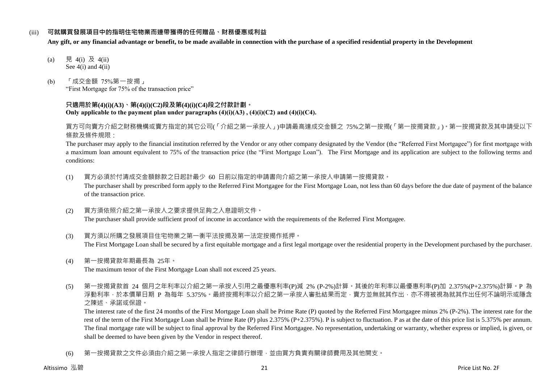#### (iii) **可就購買發展項目中的指明住宅物業而連帶獲得的任何贈品、財務優惠或利益**

**Any gift, or any financial advantage or benefit, to be made available in connection with the purchase of a specified residential property in the Development**

- (a) 見 4(i) 及 4(ii) See 4(i) and 4(ii)
- (b) 「成交金額 75%第一按揭」 "First Mortgage for 75% of the transaction price"

#### **只適用於第(4)(i)(A3)、第(4)(i)(C2)段及第(4)(i)(C4)段之付款計劃。 Only applicable to the payment plan under paragraphs (4)(i)(A3) , (4)(i)(C2) and (4)(i)(C4).**

買方可向賣方介紹之財務機構或賣方指定的其它公司(「介紹之第一承按人」)申請最高達成交金額之 75%之第一按揭(「第一按揭貸款」)。第一按揭貸款及其申請受以下 條款及條件規限:

The purchaser may apply to the financial institution referred by the Vendor or any other company designated by the Vendor (the "Referred First Mortgagee") for first mortgage with a maximum loan amount equivalent to 75% of the transaction price (the "First Mortgage Loan"). The First Mortgage and its application are subject to the following terms and conditions:

- (1) 買方必須於付清成交金額餘款之日起計最少 60 日前以指定的申請書向介紹之第一承按人申請第一按揭貸款。 The purchaser shall by prescribed form apply to the Referred First Mortgagee for the First Mortgage Loan, not less than 60 days before the due date of payment of the balance of the transaction price.
- (2) 買方須依照介紹之第一承按人之要求提供足夠之入息證明文件。 The purchaser shall provide sufficient proof of income in accordance with the requirements of the Referred First Mortgagee.
- (3) 買方須以所購之發展項目住宅物業之第一衡平法按揭及第一法定按揭作抵押。 The First Mortgage Loan shall be secured by a first equitable mortgage and a first legal mortgage over the residential property in the Development purchased by the purchaser.
- (4) 第一按揭貸款年期最長為 25年。 The maximum tenor of the First Mortgage Loan shall not exceed 25 years.
- (5) 第一按揭貸款首 24 個月之年利率以介紹之第一承按人引用之最優惠利率(P)減 2% (P-2%)計算。其後的年利率以最優惠利率(P)加 2.375%(P+2.375%)計算。P 為 浮動利率,於本價單日期 P 為每年 5.375%。最終按揭利率以介紹之第一承按人審批結果而定,賣方並無就其作出,亦不得被視為就其作出任何不論明示或隱含 之陳述、承諾或保證。

The interest rate of the first 24 months of the First Mortgage Loan shall be Prime Rate (P) quoted by the Referred First Mortgagee minus 2% (P-2%). The interest rate for the rest of the term of the First Mortgage Loan shall be Prime Rate (P) plus 2.375% (P+2.375%). P is subject to fluctuation. P as at the date of this price list is 5.375% per annum. The final mortgage rate will be subject to final approval by the Referred First Mortgagee. No representation, undertaking or warranty, whether express or implied, is given, or shall be deemed to have been given by the Vendor in respect thereof.

(6) 第一按揭貸款之文件必須由介紹之第一承按人指定之律師行辦理,並由買方負責有關律師費用及其他開支。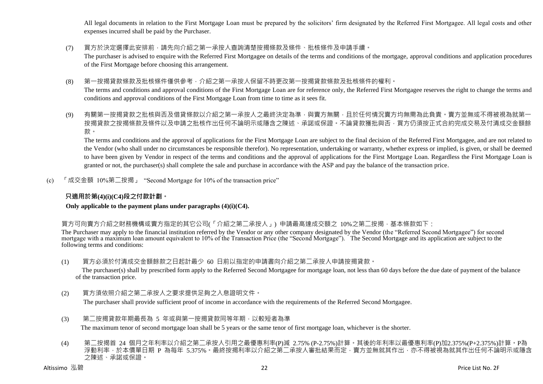All legal documents in relation to the First Mortgage Loan must be prepared by the solicitors' firm designated by the Referred First Mortgagee. All legal costs and other expenses incurred shall be paid by the Purchaser.

- (7) 買方於決定選擇此安排前,請先向介紹之第一承按人查詢清楚按揭條款及條件、批核條件及申請手續。 The purchaser is advised to enquire with the Referred First Mortgagee on details of the terms and conditions of the mortgage, approval conditions and application procedures of the First Mortgage before choosing this arrangement.
- (8) 第一按揭貸款條款及批核條件僅供參考,介紹之第一承按人保留不時更改第一按揭貸款條款及批核條件的權利。 The terms and conditions and approval conditions of the First Mortgage Loan are for reference only, the Referred First Mortgagee reserves the right to change the terms and conditions and approval conditions of the First Mortgage Loan from time to time as it sees fit.
- (9) 有關第一按揭貸款之批核與否及借貸條款以介紹之第一承按人之最終決定為準,與賣方無關,且於任何情況賣方均無需為此負責。賣方並無或不得被視為就第一 按揭貸款之按揭條款及條件以及申請之批核作出任何不論明示或隱含之陳述、承諾或保證。不論貸款獲批與否,買方仍須按正式合約完成交易及付清成交金額餘 款。

The terms and conditions and the approval of applications for the First Mortgage Loan are subject to the final decision of the Referred First Mortgagee, and are not related to the Vendor (who shall under no circumstances be responsible therefor). No representation, undertaking or warranty, whether express or implied, is given, or shall be deemed to have been given by Vendor in respect of the terms and conditions and the approval of applications for the First Mortgage Loan. Regardless the First Mortgage Loan is granted or not, the purchaser(s) shall complete the sale and purchase in accordance with the ASP and pay the balance of the transaction price.

(c) 「成交金額 10%第二按揭」 "Second Mortgage for 10% of the transaction price"

# **只適用於第(4)(i)(C4)段之付款計劃。**

#### **Only applicable to the payment plans under paragraphs (4)(i)(C4).**

買方可向賣方介紹之財務機構或賣方指定的其它公司(「介紹之第二承按人」) 申請最高達成交額之 10%之第二按揭,基本條款如下:

The Purchaser may apply to the financial institution referred by the Vendor or any other company designated by the Vendor (the "Referred Second Mortgagee") for second mortgage with a maximum loan amount equivalent to 10% of the Transaction Price (the "Second Mortgage"). The Second Mortgage and its application are subject to the following terms and conditions:

(1) 買方必須於付清成交金額餘款之日起計最少 60 日前以指定的申請書向介紹之第二承按人申請按揭貸款。

The purchaser(s) shall by prescribed form apply to the Referred Second Mortgagee for mortgage loan, not less than 60 days before the due date of payment of the balance of the transaction price.

(2) 買方須依照介紹之第二承按人之要求提供足夠之入息證明文件。

The purchaser shall provide sufficient proof of income in accordance with the requirements of the Referred Second Mortgagee.

(3) 第二按揭貸款年期最長為 5 年或與第一按揭貸款同等年期,以較短者為準

The maximum tenor of second mortgage loan shall be 5 years or the same tenor of first mortgage loan, whichever is the shorter.

(4) 第二按揭首 24 個月之年利率以介紹之第二承按人引用之最優惠利率(P)減 2.75% (P-2.75%)計算。其後的年利率以最優惠利率(P)加2.375%(P+2.375%)計算。P為 浮動利率,於本價單日期 P 為每年 5.375%。最終按揭利率以介紹之第二承按人審批結果而定, 賣方並無就其作出,亦不得被視為就其作出任何不論明示或隱含 之陳述、承諾或保證。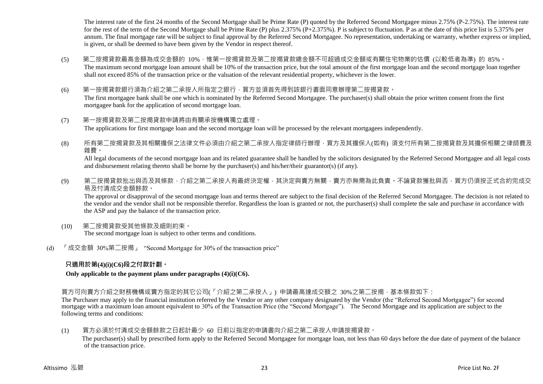The interest rate of the first 24 months of the Second Mortgage shall be Prime Rate (P) quoted by the Referred Second Mortgagee minus 2.75% (P-2.75%). The interest rate for the rest of the term of the Second Mortgage shall be Prime Rate (P) plus 2.375% (P+2.375%). P is subject to fluctuation. P as at the date of this price list is 5.375% per annum. The final mortgage rate will be subject to final approval by the Referred Second Mortgagee. No representation, undertaking or warranty, whether express or implied, is given, or shall be deemed to have been given by the Vendor in respect thereof.

- (5) 第二按揭貸款最高金額為成交金額的 10%,惟第一按揭貸款及第二按揭貸款總金額不可超過成交金額或有關住宅物業的估價 (以較低者為準) 的 85%。 The maximum second mortgage loan amount shall be 10% of the transaction price, but the total amount of the first mortgage loan and the second mortgage loan together shall not exceed 85% of the transaction price or the valuation of the relevant residential property, whichever is the lower.
- (6) 第一按揭貸款銀行須為介紹之第二承按人所指定之銀行,買方並須首先得到該銀行書面同意辦理第二按揭貸款。 The first mortgagee bank shall be one which is nominated by the Referred Second Mortgagee. The purchaser(s) shall obtain the prior written consent from the first mortgagee bank for the application of second mortgage loan.
- (7) 第一按揭貸款及第二按揭貸款申請將由有關承按機構獨立處理。 The applications for first mortgage loan and the second mortgage loan will be processed by the relevant mortgagees independently.
- (8) 所有第二按揭貸款及其相關擔保之法律文件必須由介紹之第二承按人指定律師行辦理,買方及其擔保人(如有) 須支付所有第二按揭貸款及其擔保相關之律師費及 雜費。

All legal documents of the second mortgage loan and its related guarantee shall be handled by the solicitors designated by the Referred Second Mortgagee and all legal costs and disbursement relating thereto shall be borne by the purchaser(s) and his/her/their guarantor(s) (if any).

(9) 第<sup>一</sup>按揭貸款批出與否及其條款,介紹之第<sup>一</sup>承按人有最終決定權,其決定與賣方無關,賣方亦無需為此負責。不論貸款獲批與否,買方仍須按正式合約完成交 易及付清成交金額餘款。

The approval or disapproval of the second mortgage loan and terms thereof are subject to the final decision of the Referred Second Mortgagee. The decision is not related to the vendor and the vendor shall not be responsible therefor. Regardless the loan is granted or not, the purchaser(s) shall complete the sale and purchase in accordance with the ASP and pay the balance of the transaction price.

- (10) 第二按揭貸款受其他條款及細則約束。 The second mortgage loan is subject to other terms and conditions.
- (d) 「成交金額 30%第二按揭」 "Second Mortgage for 30% of the transaction price"

#### **只適用於第(4)(i)(C6)段之付款計劃。**

#### **Only applicable to the payment plans under paragraphs (4)(i)(C6).**

買方可向賣方介紹之財務機構或賣方指定的其它公司(「介紹之第二承按人」) 申請最高達成交額之 30%之第二按揭,基本條款如下:

The Purchaser may apply to the financial institution referred by the Vendor or any other company designated by the Vendor (the "Referred Second Mortgagee") for second mortgage with a maximum loan amount equivalent to 30% of the Transaction Price (the "Second Mortgage"). The Second Mortgage and its application are subject to the following terms and conditions:

(1) 買方必須於付清成交金額餘款之日起計最少 60 日前以指定的申請書向介紹之第二承按人申請按揭貸款。

The purchaser(s) shall by prescribed form apply to the Referred Second Mortgagee for mortgage loan, not less than 60 days before the due date of payment of the balance of the transaction price.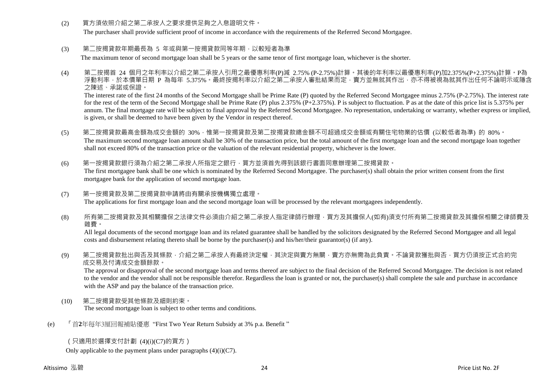(2) 冒方須依照介紹之第二承按人之要求提供足夠之人息證明文件。

The purchaser shall provide sufficient proof of income in accordance with the requirements of the Referred Second Mortgagee.

(3) 第二按揭貸款年期最長為 5 年或與第一按揭貸款同等年期, 以較短者為準

The maximum tenor of second mortgage loan shall be 5 years or the same tenor of first mortgage loan, whichever is the shorter.

(4) 第二按揭首 24 個月之年利率以介紹之第二承按人引用之最優惠利率(P)減 2.75% (P-2.75%)計算。其後的年利率以最優惠利率(P)加2.375%(P+2.375%)計算。P為 浮動利率,於本價單日期 P 為每年 5.375%。最終按揭利率以介紹之第二承按人審批結果而定,賣方並無就其作出,亦不得被視為就其作出任何不論明示或隱含 之陳述、承諾或保證。

The interest rate of the first 24 months of the Second Mortgage shall be Prime Rate (P) quoted by the Referred Second Mortgagee minus 2.75% (P-2.75%). The interest rate for the rest of the term of the Second Mortgage shall be Prime Rate (P) plus 2.375% (P+2.375%). P is subject to fluctuation. P as at the date of this price list is 5.375% per annum. The final mortgage rate will be subject to final approval by the Referred Second Mortgagee. No representation, undertaking or warranty, whether express or implied, is given, or shall be deemed to have been given by the Vendor in respect thereof.

- (5) 第二按揭貸款最高金額為成交金額的 30%,惟第一按揭貸款及第三按揭貸款總金額不可超過成交金額或有關住宅物業的估價 (以較低者為準) 的 80%。 The maximum second mortgage loan amount shall be 30% of the transaction price, but the total amount of the first mortgage loan and the second mortgage loan together shall not exceed 80% of the transaction price or the valuation of the relevant residential property, whichever is the lower.
- (6) 第一按揭貸款銀行須為介紹之第二承按人所指定之銀行,買方並須首先得到該銀行書面同意辦理第二按揭貸款。 The first mortgagee bank shall be one which is nominated by the Referred Second Mortgagee. The purchaser(s) shall obtain the prior written consent from the first mortgagee bank for the application of second mortgage loan.
- (7) 第一按揭貸款及第二按揭貸款申請將由有關承按機構獨立處理。 The applications for first mortgage loan and the second mortgage loan will be processed by the relevant mortgagees independently.
- (8) 所有第二按揭貸款及其相關擔保之法律文件必須由介紹之第二承按人指定律師行辦理,買方及其擔保人(如有)須支付所有第二按揭貸款及其擔保相關之律師費及 雜費。

All legal documents of the second mortgage loan and its related guarantee shall be handled by the solicitors designated by the Referred Second Mortgagee and all legal costs and disbursement relating thereto shall be borne by the purchaser(s) and his/her/their guarantor(s) (if any).

(9) 第二按揭貸款批出與否及其條款,介紹之第二承按人有最終決定權,其決定與賣方無關,賣方亦無需為此負責。不論貸款獲批與否,買方仍須按正式合約完 成交易及付清成交金額餘款。

The approval or disapproval of the second mortgage loan and terms thereof are subject to the final decision of the Referred Second Mortgagee. The decision is not related to the vendor and the vendor shall not be responsible therefor. Regardless the loan is granted or not, the purchaser(s) shall complete the sale and purchase in accordance with the ASP and pay the balance of the transaction price.

- (10) 第二按揭貸款受其他條款及細則約束。 The second mortgage loan is subject to other terms and conditions.
- (e) 「首**2**年每年3厘回報補貼優惠 "First Two Year Return Subsidy at 3% p.a. Benefit "

# (只適用於選擇支付計劃 (4)(i)(C7)的買方)

Only applicable to the payment plans under paragraphs  $(4)(i)(C7)$ .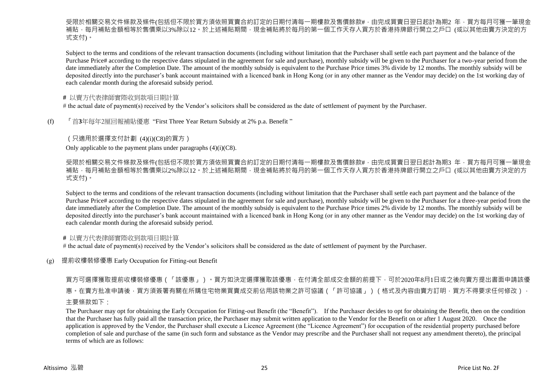受限於相關交易文件條款及條件(包括但不限於買方須依照買賣合約訂定的日期付清每一期樓款及售價餘款#,由完成買賣日翌日起計為期2 年,買方每月可獲一筆現金 補貼,每月補貼金額相等於售價乘以3%除以12。於上述補貼期間,現金補貼將於每月的第一個工作天存入買方於香港持牌銀行開立之戶口 (或以其他由賣方決定的方 式支付)。

Subject to the terms and conditions of the relevant transaction documents (including without limitation that the Purchaser shall settle each part payment and the balance of the Purchase Price# according to the respective dates stipulated in the agreement for sale and purchase), monthly subsidy will be given to the Purchaser for a two-year period from the date immediately after the Completion Date. The amount of the monthly subsidy is equivalent to the Purchase Price times 3% divide by 12 months. The monthly subsidy will be deposited directly into the purchaser's bank account maintained with a licenced bank in Hong Kong (or in any other manner as the Vendor may decide) on the 1st working day of each calendar month during the aforesaid subsidy period.

#### **#** 以賣方代表律師實際收到款項日期計算

# the actual date of payment(s) received by the Vendor's solicitors shall be considered as the date of settlement of payment by the Purchaser.

(f) 「首**3**年每年2厘回報補貼優惠 "First Three Year Return Subsidy at 2% p.a. Benefit "

### (只適用於選擇支付計劃 (4)(i)(C8)的買方)

Only applicable to the payment plans under paragraphs  $(4)(i)(C8)$ .

受限於相關交易文件條款及條件(包括但不限於買方須依照買賣合約訂定的日期付清每一期樓款及售價餘款#,由完成買賣日翌日起計為期3 年,買方每月可獲一筆現金 補貼,每月補貼金額相等於售價乘以2%除以12。於上述補貼期間,現金補貼將於每月的第一個工作天存入買方於香港持牌銀行開立之戶口 (或以其他由賣方決定的方 式支付)。

Subject to the terms and conditions of the relevant transaction documents (including without limitation that the Purchaser shall settle each part payment and the balance of the Purchase Price# according to the respective dates stipulated in the agreement for sale and purchase), monthly subsidy will be given to the Purchaser for a three-year period from the date immediately after the Completion Date. The amount of the monthly subsidy is equivalent to the Purchase Price times 2% divide by 12 months. The monthly subsidy will be deposited directly into the purchaser's bank account maintained with a licenced bank in Hong Kong (or in any other manner as the Vendor may decide) on the 1st working day of each calendar month during the aforesaid subsidy period.

#### **#** 以賣方代表律師實際收到款項日期計算

# the actual date of payment(s) received by the Vendor's solicitors shall be considered as the date of settlement of payment by the Purchaser.

#### (g) 提前收樓裝修優惠 Early Occupation for Fitting-out Benefit

買方可選擇獲取提前收樓裝修優惠(「該優惠」)。買方如決定選擇獲取該優惠,在付清全部成交金額的前提下,可於2020年8月1日或之後向賣方提出書面申請該優 惠。在賣方批准申請後,買方須簽署有關在所購住宅物業買賣成交前佔用該物業之許可協議(「許可協議」)(格式及內容由賣方訂明,買方不得要求任何修改), 主要條款如下:

The Purchaser may opt for obtaining the Early Occupation for Fitting-out Benefit (the "Benefit"). If the Purchaser decides to opt for obtaining the Benefit, then on the condition that the Purchaser has fully paid all the transaction price, the Purchaser may submit written application to the Vendor for the Benefit on or after 1 August 2020. Once the application is approved by the Vendor, the Purchaser shall execute a Licence Agreement (the "Licence Agreement") for occupation of the residential property purchased before completion of sale and purchase of the same (in such form and substance as the Vendor may prescribe and the Purchaser shall not request any amendment thereto), the principal terms of which are as follows: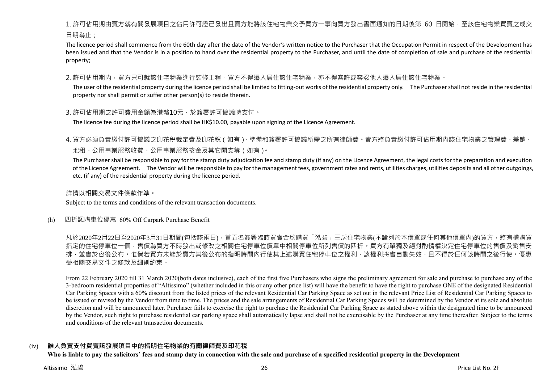1. 許可佔用期由賣方就有關發展項目之佔用許可證已發出且賣方能將該住宅物業交予買方一事向買方發出書面通知的日期後第 60 日開始,至該住宅物業買賣之成交 日期為止;

The licence period shall commence from the 60th day after the date of the Vendor's written notice to the Purchaser that the Occupation Permit in respect of the Development has been issued and that the Vendor is in a position to hand over the residential property to the Purchaser, and until the date of completion of sale and purchase of the residential property;

2. 許可佔用期内,買方只可就該住宅物業進行裝修工程。買方不得遷入居住該住宅物業,亦不得容許或容忍他人遷入居住該住宅物業。

The user of the residential property during the licence period shall be limited to fitting-out works of the residential property only. The Purchaser shall not reside in the residential property nor shall permit or suffer other person(s) to reside therein.

#### 3. 許可佔用期之許可費用金額為港幣10元,於簽署許可協議時支付。

The licence fee during the licence period shall be HK\$10.00, payable upon signing of the Licence Agreement.

4. 買方必須負責繳付許可協議之印花稅裁定費及印花稅(如有)、準備和簽署許可協議所需之所有律師費。賣方將負責繳付許可佔用期內該住宅物業之管理費、差餉、 地租、公用事業服務收費、公用事業服務按金及其它開支等(如有)。

The Purchaser shall be responsible to pay for the stamp duty adjudication fee and stamp duty (if any) on the Licence Agreement, the legal costs for the preparation and execution of the Licence Agreement. The Vendor will be responsible to pay for the management fees, government rates and rents, utilities charges, utilities deposits and all other outgoings, etc. (if any) of the residential property during the licence period.

詳情以相關交易文件條款作準。

Subject to the terms and conditions of the relevant transaction documents.

(h) 四折認購車位優惠 60% Off Carpark Purchase Benefit

凡於2020年2月22日至2020年3月31日期間(包括該兩日),首五名簽署臨時買賣合約購買「泓碧」三房住宅物業(不論列於本價單或任何其他價單內)的買方,將有權購買 指定的住宅停車位一個,售價為買方不時發出或修改之相關住宅停車位價單中相關停車位所列售價的四折。買方有單獨及絕對酌情權決定住宅停車位的售價及銷售安 排,並會於容後公布。惟倘若買方未能於賣方其後公布的指明時間內行使其上述購買住宅停車位之權利,該權利將會自動失效,且不得於任何該時間之後行使。優惠 受相關交易文件之條款及細則約束。

From 22 February 2020 till 31 March 2020(both dates inclusive), each of the first five Purchasers who signs the preliminary agreement for sale and purchase to purchase any of the 3-bedroom residential properties of "Altissimo" (whether included in this or any other price list) will have the benefit to have the right to purchase ONE of the designated Residential Car Parking Spaces with a 60% discount from the listed prices of the relevant Residential Car Parking Space as set out in the relevant Price List of Residential Car Parking Spaces to be issued or revised by the Vendor from time to time. The prices and the sale arrangements of Residential Car Parking Spaces will be determined by the Vendor at its sole and absolute discretion and will be announced later. Purchaser fails to exercise the right to purchase the Residential Car Parking Space as stated above within the designated time to be announced by the Vendor, such right to purchase residential car parking space shall automatically lapse and shall not be exercisable by the Purchaser at any time thereafter. Subject to the terms and conditions of the relevant transaction documents.

# (iv) **誰人負責支付買賣該發展項目中的指明住宅物業的有關律師費及印花稅**

**Who is liable to pay the solicitors' fees and stamp duty in connection with the sale and purchase of a specified residential property in the Development**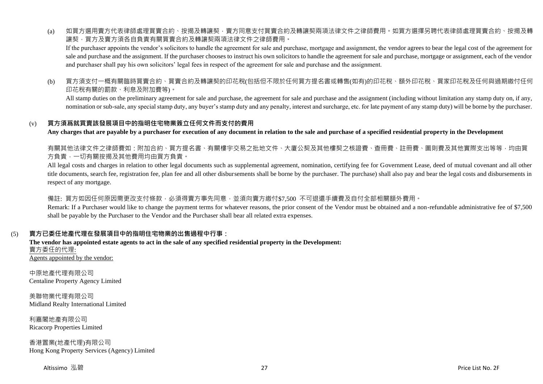(a) 如買方選用賣方代表律師處理買賣合約、按揭及轉讓契,賣方同意支付買賣合約及轉讓契兩項法律文件之律師費用。如買方選擇另聘代表律師處理買賣合約、按揭及轉 讓契,買方及賣方須各自負責有關買賣合約及轉讓契兩項法律文件之律師費用。

If the purchaser appoints the vendor's solicitors to handle the agreement for sale and purchase, mortgage and assignment, the vendor agrees to bear the legal cost of the agreement for sale and purchase and the assignment. If the purchaser chooses to instruct his own solicitors to handle the agreement for sale and purchase, mortgage or assignment, each of the vendor and purchaser shall pay his own solicitors' legal fees in respect of the agreement for sale and purchase and the assignment.

(b) 買方須支付一概有關臨時買賣合約、買賣合約及轉讓契的印花稅(包括但不限於任何買方提名書或轉售(如有)的印花稅、額外印花稅、買家印花稅及任何與過期繳付任何 印花稅有關的罰款、利息及附加費等)。

All stamp duties on the preliminary agreement for sale and purchase, the agreement for sale and purchase and the assignment (including without limitation any stamp duty on, if any, nomination or sub-sale, any special stamp duty, any buyer's stamp duty and any penalty, interest and surcharge, etc. for late payment of any stamp duty) will be borne by the purchaser.

#### (v) **買方須爲就買賣該發展項目中的指明住宅物業簽立任何文件而支付的費用**

**Any charges that are payable by a purchaser for execution of any document in relation to the sale and purchase of a specified residential property in the Development**

有關其他法律文件之律師費如:附加合約、買方提名書、有關樓宇交易之批地文件、大廈公契及其他樓契之核證費、杳冊費、註冊費、圖則費及其他實際支出等等,均由買 方負責,一切有關按揭及其他費用均由買方負責。

All legal costs and charges in relation to other legal documents such as supplemental agreement, nomination, certifying fee for Government Lease, deed of mutual covenant and all other title documents, search fee, registration fee, plan fee and all other disbursements shall be borne by the purchaser. The purchase) shall also pay and bear the legal costs and disbursements in respect of any mortgage.

#### 備註: 買方如因任何原因需更改支付條款,必須得賣方事先同意,並須向賣方繳付\$7,500 不可狠還手續費及自付全部相關額外費用。

Remark: If a Purchaser would like to change the payment terms for whatever reasons, the prior consent of the Vendor must be obtained and a non-refundable administrative fee of \$7,500 shall be payable by the Purchaser to the Vendor and the Purchaser shall bear all related extra expenses.

# (5) **賣方已委任地產代理在發展項目中的指明住宅物業的出售過程中行事:**

**The vendor has appointed estate agents to act in the sale of any specified residential property in the Development:** 賣方委任的代理: Agents appointed by the vendor:

中原地產代理有限公司 Centaline Property Agency Limited

美聯物業代理有限公司 Midland Realty International Limited

利嘉閣地產有限公司 Ricacorp Properties Limited

香港置業(地產代理)有限公司 Hong Kong Property Services (Agency) Limited